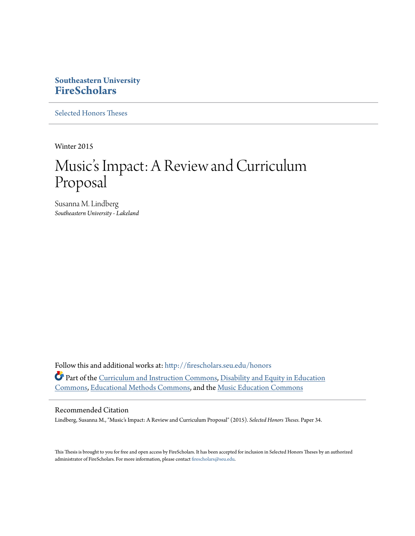# **Southeastern University [FireScholars](http://firescholars.seu.edu?utm_source=firescholars.seu.edu%2Fhonors%2F34&utm_medium=PDF&utm_campaign=PDFCoverPages)**

[Selected Honors Theses](http://firescholars.seu.edu/honors?utm_source=firescholars.seu.edu%2Fhonors%2F34&utm_medium=PDF&utm_campaign=PDFCoverPages)

Winter 2015

# Music's Impact: A Review and Curriculum Proposal

Susanna M. Lindberg *Southeastern University - Lakeland*

Follow this and additional works at: [http://firescholars.seu.edu/honors](http://firescholars.seu.edu/honors?utm_source=firescholars.seu.edu%2Fhonors%2F34&utm_medium=PDF&utm_campaign=PDFCoverPages) Part of the [Curriculum and Instruction Commons](http://network.bepress.com/hgg/discipline/786?utm_source=firescholars.seu.edu%2Fhonors%2F34&utm_medium=PDF&utm_campaign=PDFCoverPages), [Disability and Equity in Education](http://network.bepress.com/hgg/discipline/1040?utm_source=firescholars.seu.edu%2Fhonors%2F34&utm_medium=PDF&utm_campaign=PDFCoverPages) [Commons,](http://network.bepress.com/hgg/discipline/1040?utm_source=firescholars.seu.edu%2Fhonors%2F34&utm_medium=PDF&utm_campaign=PDFCoverPages) [Educational Methods Commons](http://network.bepress.com/hgg/discipline/1227?utm_source=firescholars.seu.edu%2Fhonors%2F34&utm_medium=PDF&utm_campaign=PDFCoverPages), and the [Music Education Commons](http://network.bepress.com/hgg/discipline/1246?utm_source=firescholars.seu.edu%2Fhonors%2F34&utm_medium=PDF&utm_campaign=PDFCoverPages)

#### Recommended Citation

Lindberg, Susanna M., "Music's Impact: A Review and Curriculum Proposal" (2015). *Selected Honors Theses.* Paper 34.

This Thesis is brought to you for free and open access by FireScholars. It has been accepted for inclusion in Selected Honors Theses by an authorized administrator of FireScholars. For more information, please contact [firescholars@seu.edu](mailto:firescholars@seu.edu).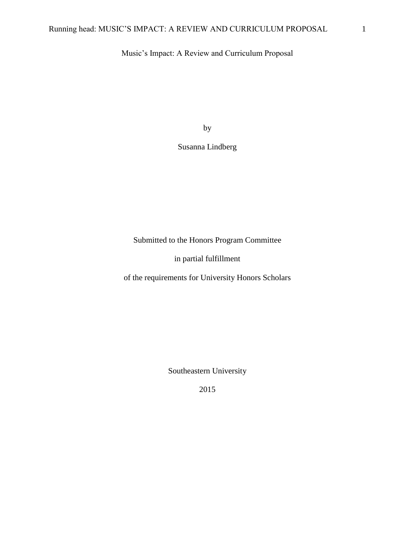## Music's Impact: A Review and Curriculum Proposal

by

# Susanna Lindberg

Submitted to the Honors Program Committee

in partial fulfillment

of the requirements for University Honors Scholars

Southeastern University

2015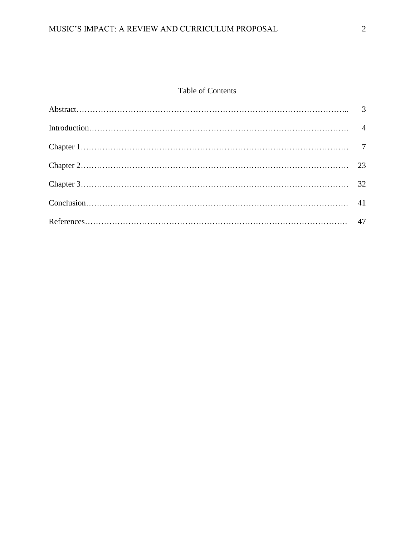# Table of Contents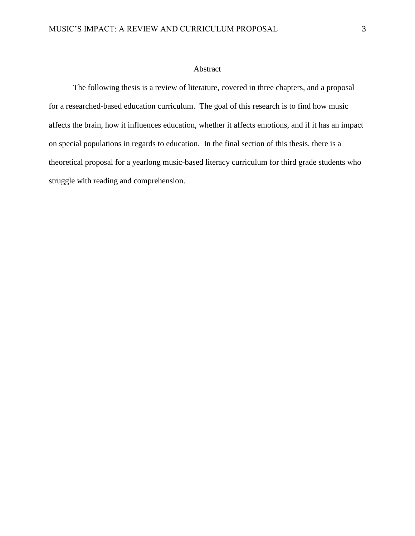## Abstract

The following thesis is a review of literature, covered in three chapters, and a proposal for a researched-based education curriculum. The goal of this research is to find how music affects the brain, how it influences education, whether it affects emotions, and if it has an impact on special populations in regards to education. In the final section of this thesis, there is a theoretical proposal for a yearlong music-based literacy curriculum for third grade students who struggle with reading and comprehension.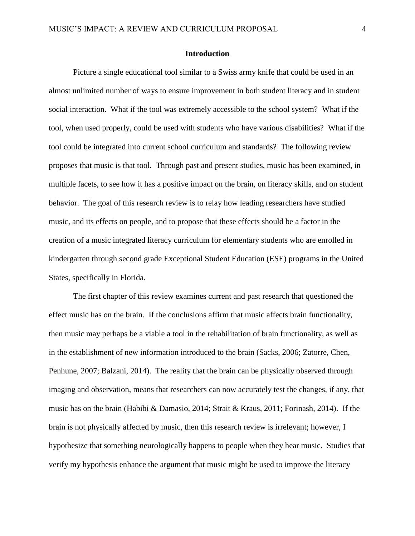#### **Introduction**

Picture a single educational tool similar to a Swiss army knife that could be used in an almost unlimited number of ways to ensure improvement in both student literacy and in student social interaction. What if the tool was extremely accessible to the school system? What if the tool, when used properly, could be used with students who have various disabilities? What if the tool could be integrated into current school curriculum and standards? The following review proposes that music is that tool. Through past and present studies, music has been examined, in multiple facets, to see how it has a positive impact on the brain, on literacy skills, and on student behavior. The goal of this research review is to relay how leading researchers have studied music, and its effects on people, and to propose that these effects should be a factor in the creation of a music integrated literacy curriculum for elementary students who are enrolled in kindergarten through second grade Exceptional Student Education (ESE) programs in the United States, specifically in Florida.

The first chapter of this review examines current and past research that questioned the effect music has on the brain. If the conclusions affirm that music affects brain functionality, then music may perhaps be a viable a tool in the rehabilitation of brain functionality, as well as in the establishment of new information introduced to the brain (Sacks, 2006; Zatorre, Chen, Penhune, 2007; Balzani, 2014). The reality that the brain can be physically observed through imaging and observation, means that researchers can now accurately test the changes, if any, that music has on the brain (Habibi & Damasio, 2014; Strait & Kraus, 2011; Forinash, 2014). If the brain is not physically affected by music, then this research review is irrelevant; however, I hypothesize that something neurologically happens to people when they hear music. Studies that verify my hypothesis enhance the argument that music might be used to improve the literacy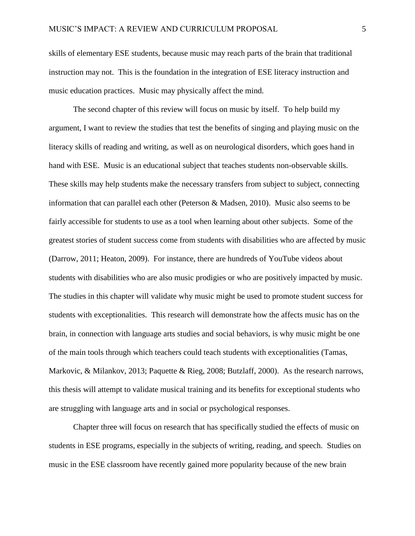skills of elementary ESE students, because music may reach parts of the brain that traditional instruction may not. This is the foundation in the integration of ESE literacy instruction and music education practices. Music may physically affect the mind.

The second chapter of this review will focus on music by itself. To help build my argument, I want to review the studies that test the benefits of singing and playing music on the literacy skills of reading and writing, as well as on neurological disorders, which goes hand in hand with ESE. Music is an educational subject that teaches students non-observable skills. These skills may help students make the necessary transfers from subject to subject, connecting information that can parallel each other (Peterson & Madsen, 2010). Music also seems to be fairly accessible for students to use as a tool when learning about other subjects. Some of the greatest stories of student success come from students with disabilities who are affected by music (Darrow, 2011; Heaton, 2009). For instance, there are hundreds of YouTube videos about students with disabilities who are also music prodigies or who are positively impacted by music. The studies in this chapter will validate why music might be used to promote student success for students with exceptionalities. This research will demonstrate how the affects music has on the brain, in connection with language arts studies and social behaviors, is why music might be one of the main tools through which teachers could teach students with exceptionalities (Tamas, Markovic, & Milankov, 2013; Paquette & Rieg, 2008; Butzlaff, 2000). As the research narrows, this thesis will attempt to validate musical training and its benefits for exceptional students who are struggling with language arts and in social or psychological responses.

Chapter three will focus on research that has specifically studied the effects of music on students in ESE programs, especially in the subjects of writing, reading, and speech. Studies on music in the ESE classroom have recently gained more popularity because of the new brain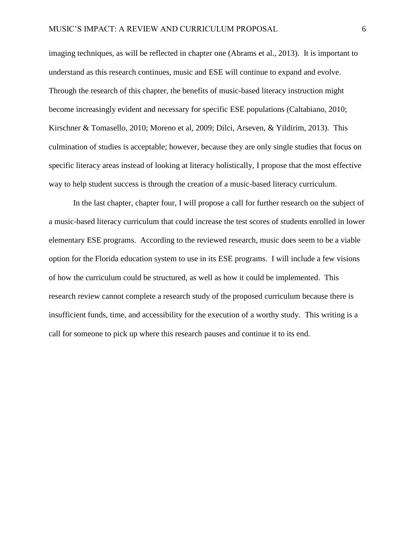imaging techniques, as will be reflected in chapter one (Abrams et al., 2013). It is important to understand as this research continues, music and ESE will continue to expand and evolve. Through the research of this chapter, the benefits of music-based literacy instruction might become increasingly evident and necessary for specific ESE populations (Caltabiano, 2010; Kirschner & Tomasello, 2010; Moreno et al, 2009; Dilci, Arseven, & Yildirim, 2013). This culmination of studies is acceptable; however, because they are only single studies that focus on specific literacy areas instead of looking at literacy holistically, I propose that the most effective way to help student success is through the creation of a music-based literacy curriculum.

In the last chapter, chapter four, I will propose a call for further research on the subject of a music-based literacy curriculum that could increase the test scores of students enrolled in lower elementary ESE programs. According to the reviewed research, music does seem to be a viable option for the Florida education system to use in its ESE programs. I will include a few visions of how the curriculum could be structured, as well as how it could be implemented. This research review cannot complete a research study of the proposed curriculum because there is insufficient funds, time, and accessibility for the execution of a worthy study. This writing is a call for someone to pick up where this research pauses and continue it to its end.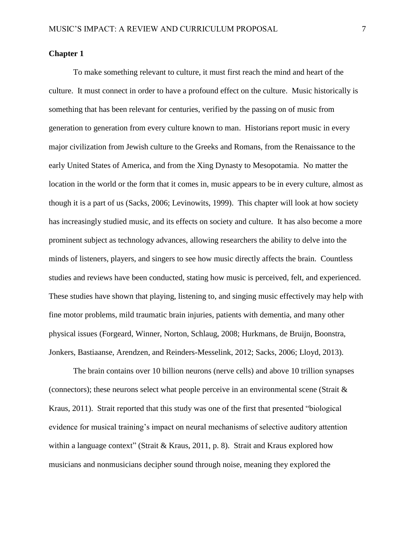### **Chapter 1**

To make something relevant to culture, it must first reach the mind and heart of the culture. It must connect in order to have a profound effect on the culture. Music historically is something that has been relevant for centuries, verified by the passing on of music from generation to generation from every culture known to man. Historians report music in every major civilization from Jewish culture to the Greeks and Romans, from the Renaissance to the early United States of America, and from the Xing Dynasty to Mesopotamia. No matter the location in the world or the form that it comes in, music appears to be in every culture, almost as though it is a part of us (Sacks, 2006; Levinowits, 1999). This chapter will look at how society has increasingly studied music, and its effects on society and culture. It has also become a more prominent subject as technology advances, allowing researchers the ability to delve into the minds of listeners, players, and singers to see how music directly affects the brain. Countless studies and reviews have been conducted, stating how music is perceived, felt, and experienced. These studies have shown that playing, listening to, and singing music effectively may help with fine motor problems, mild traumatic brain injuries, patients with dementia, and many other physical issues (Forgeard, Winner, Norton, Schlaug, 2008; Hurkmans, de Bruijn, Boonstra, Jonkers, Bastiaanse, Arendzen, and Reinders-Messelink, 2012; Sacks, 2006; Lloyd, 2013).

The brain contains over 10 billion neurons (nerve cells) and above 10 trillion synapses (connectors); these neurons select what people perceive in an environmental scene (Strait  $\&$ Kraus, 2011). Strait reported that this study was one of the first that presented "biological evidence for musical training's impact on neural mechanisms of selective auditory attention within a language context" (Strait & Kraus, 2011, p. 8). Strait and Kraus explored how musicians and nonmusicians decipher sound through noise, meaning they explored the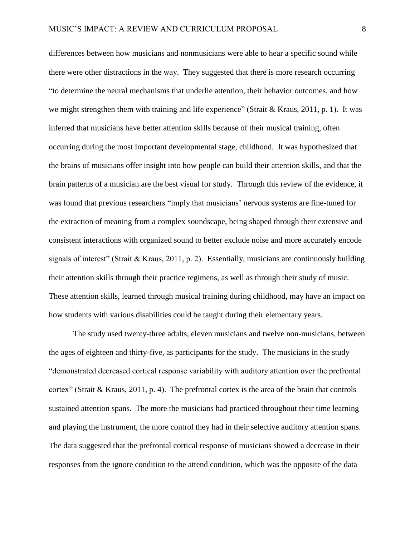differences between how musicians and nonmusicians were able to hear a specific sound while there were other distractions in the way. They suggested that there is more research occurring "to determine the neural mechanisms that underlie attention, their behavior outcomes, and how we might strengthen them with training and life experience" (Strait & Kraus, 2011, p. 1). It was inferred that musicians have better attention skills because of their musical training, often occurring during the most important developmental stage, childhood. It was hypothesized that the brains of musicians offer insight into how people can build their attention skills, and that the brain patterns of a musician are the best visual for study. Through this review of the evidence, it was found that previous researchers "imply that musicians' nervous systems are fine-tuned for the extraction of meaning from a complex soundscape, being shaped through their extensive and consistent interactions with organized sound to better exclude noise and more accurately encode signals of interest" (Strait & Kraus, 2011, p. 2). Essentially, musicians are continuously building their attention skills through their practice regimens, as well as through their study of music. These attention skills, learned through musical training during childhood, may have an impact on how students with various disabilities could be taught during their elementary years.

The study used twenty-three adults, eleven musicians and twelve non-musicians, between the ages of eighteen and thirty-five, as participants for the study. The musicians in the study "demonstrated decreased cortical response variability with auditory attention over the prefrontal cortex" (Strait & Kraus, 2011, p. 4). The prefrontal cortex is the area of the brain that controls sustained attention spans. The more the musicians had practiced throughout their time learning and playing the instrument, the more control they had in their selective auditory attention spans. The data suggested that the prefrontal cortical response of musicians showed a decrease in their responses from the ignore condition to the attend condition, which was the opposite of the data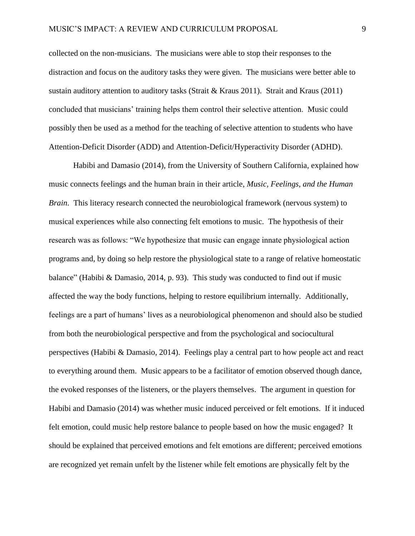collected on the non-musicians. The musicians were able to stop their responses to the distraction and focus on the auditory tasks they were given. The musicians were better able to sustain auditory attention to auditory tasks (Strait & Kraus 2011). Strait and Kraus (2011) concluded that musicians' training helps them control their selective attention. Music could possibly then be used as a method for the teaching of selective attention to students who have Attention-Deficit Disorder (ADD) and Attention-Deficit/Hyperactivity Disorder (ADHD).

Habibi and Damasio (2014), from the University of Southern California, explained how music connects feelings and the human brain in their article, *Music, Feelings, and the Human Brain*. This literacy research connected the neurobiological framework (nervous system) to musical experiences while also connecting felt emotions to music. The hypothesis of their research was as follows: "We hypothesize that music can engage innate physiological action programs and, by doing so help restore the physiological state to a range of relative homeostatic balance" (Habibi & Damasio, 2014, p. 93). This study was conducted to find out if music affected the way the body functions, helping to restore equilibrium internally. Additionally, feelings are a part of humans' lives as a neurobiological phenomenon and should also be studied from both the neurobiological perspective and from the psychological and sociocultural perspectives (Habibi & Damasio, 2014). Feelings play a central part to how people act and react to everything around them. Music appears to be a facilitator of emotion observed though dance, the evoked responses of the listeners, or the players themselves. The argument in question for Habibi and Damasio (2014) was whether music induced perceived or felt emotions. If it induced felt emotion, could music help restore balance to people based on how the music engaged? It should be explained that perceived emotions and felt emotions are different; perceived emotions are recognized yet remain unfelt by the listener while felt emotions are physically felt by the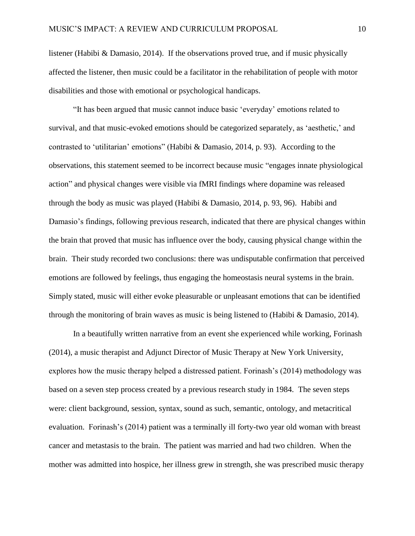listener (Habibi & Damasio, 2014). If the observations proved true, and if music physically affected the listener, then music could be a facilitator in the rehabilitation of people with motor disabilities and those with emotional or psychological handicaps.

"It has been argued that music cannot induce basic 'everyday' emotions related to survival, and that music-evoked emotions should be categorized separately, as 'aesthetic,' and contrasted to 'utilitarian' emotions" (Habibi & Damasio, 2014, p. 93). According to the observations, this statement seemed to be incorrect because music "engages innate physiological action" and physical changes were visible via fMRI findings where dopamine was released through the body as music was played (Habibi & Damasio, 2014, p. 93, 96). Habibi and Damasio's findings, following previous research, indicated that there are physical changes within the brain that proved that music has influence over the body, causing physical change within the brain. Their study recorded two conclusions: there was undisputable confirmation that perceived emotions are followed by feelings, thus engaging the homeostasis neural systems in the brain. Simply stated, music will either evoke pleasurable or unpleasant emotions that can be identified through the monitoring of brain waves as music is being listened to (Habibi & Damasio, 2014).

In a beautifully written narrative from an event she experienced while working, Forinash (2014), a music therapist and Adjunct Director of Music Therapy at New York University, explores how the music therapy helped a distressed patient. Forinash's (2014) methodology was based on a seven step process created by a previous research study in 1984. The seven steps were: client background, session, syntax, sound as such, semantic, ontology, and metacritical evaluation. Forinash's (2014) patient was a terminally ill forty-two year old woman with breast cancer and metastasis to the brain. The patient was married and had two children. When the mother was admitted into hospice, her illness grew in strength, she was prescribed music therapy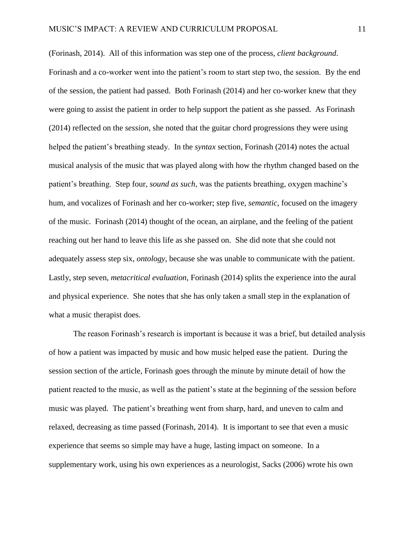(Forinash, 2014). All of this information was step one of the process, *client background*. Forinash and a co-worker went into the patient's room to start step two, the session. By the end of the session, the patient had passed. Both Forinash (2014) and her co-worker knew that they were going to assist the patient in order to help support the patient as she passed. As Forinash (2014) reflected on the *session*, she noted that the guitar chord progressions they were using helped the patient's breathing steady. In the *syntax* section, Forinash (2014) notes the actual musical analysis of the music that was played along with how the rhythm changed based on the patient's breathing. Step four, *sound as such*, was the patients breathing, oxygen machine's hum, and vocalizes of Forinash and her co-worker; step five, *semantic*, focused on the imagery of the music. Forinash (2014) thought of the ocean, an airplane, and the feeling of the patient reaching out her hand to leave this life as she passed on. She did note that she could not adequately assess step six, *ontology*, because she was unable to communicate with the patient. Lastly, step seven, *metacritical evaluation*, Forinash (2014) splits the experience into the aural and physical experience. She notes that she has only taken a small step in the explanation of what a music therapist does.

The reason Forinash's research is important is because it was a brief, but detailed analysis of how a patient was impacted by music and how music helped ease the patient. During the session section of the article, Forinash goes through the minute by minute detail of how the patient reacted to the music, as well as the patient's state at the beginning of the session before music was played. The patient's breathing went from sharp, hard, and uneven to calm and relaxed, decreasing as time passed (Forinash, 2014). It is important to see that even a music experience that seems so simple may have a huge, lasting impact on someone. In a supplementary work, using his own experiences as a neurologist, Sacks (2006) wrote his own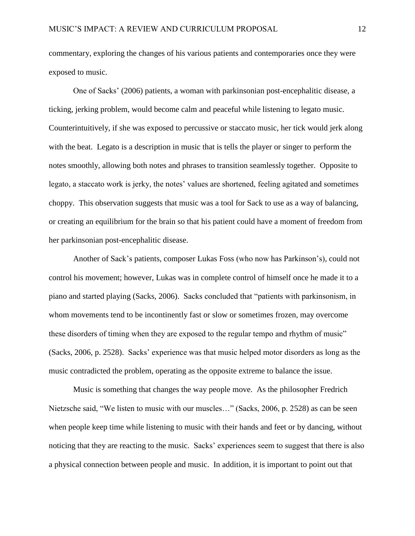commentary, exploring the changes of his various patients and contemporaries once they were exposed to music.

One of Sacks' (2006) patients, a woman with parkinsonian post-encephalitic disease, a ticking, jerking problem, would become calm and peaceful while listening to legato music. Counterintuitively, if she was exposed to percussive or staccato music, her tick would jerk along with the beat. Legato is a description in music that is tells the player or singer to perform the notes smoothly, allowing both notes and phrases to transition seamlessly together. Opposite to legato, a staccato work is jerky, the notes' values are shortened, feeling agitated and sometimes choppy. This observation suggests that music was a tool for Sack to use as a way of balancing, or creating an equilibrium for the brain so that his patient could have a moment of freedom from her parkinsonian post-encephalitic disease.

Another of Sack's patients, composer Lukas Foss (who now has Parkinson's), could not control his movement; however, Lukas was in complete control of himself once he made it to a piano and started playing (Sacks, 2006). Sacks concluded that "patients with parkinsonism, in whom movements tend to be incontinently fast or slow or sometimes frozen, may overcome these disorders of timing when they are exposed to the regular tempo and rhythm of music" (Sacks, 2006, p. 2528). Sacks' experience was that music helped motor disorders as long as the music contradicted the problem, operating as the opposite extreme to balance the issue.

Music is something that changes the way people move. As the philosopher Fredrich Nietzsche said, "We listen to music with our muscles…" (Sacks, 2006, p. 2528) as can be seen when people keep time while listening to music with their hands and feet or by dancing, without noticing that they are reacting to the music. Sacks' experiences seem to suggest that there is also a physical connection between people and music. In addition, it is important to point out that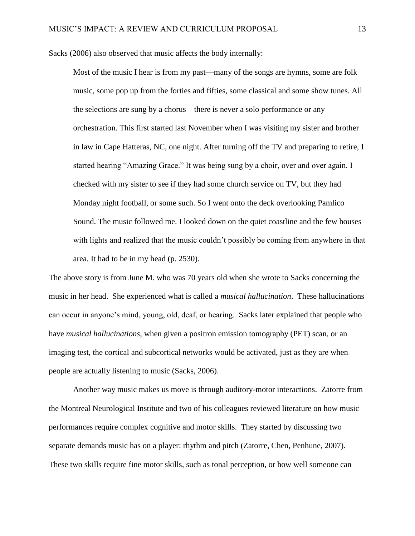Sacks (2006) also observed that music affects the body internally:

Most of the music I hear is from my past—many of the songs are hymns, some are folk music, some pop up from the forties and fifties, some classical and some show tunes. All the selections are sung by a chorus—there is never a solo performance or any orchestration. This first started last November when I was visiting my sister and brother in law in Cape Hatteras, NC, one night. After turning off the TV and preparing to retire, I started hearing "Amazing Grace." It was being sung by a choir, over and over again. I checked with my sister to see if they had some church service on TV, but they had Monday night football, or some such. So I went onto the deck overlooking Pamlico Sound. The music followed me. I looked down on the quiet coastline and the few houses with lights and realized that the music couldn't possibly be coming from anywhere in that area. It had to be in my head (p. 2530).

The above story is from June M. who was 70 years old when she wrote to Sacks concerning the music in her head. She experienced what is called a *musical hallucination*. These hallucinations can occur in anyone's mind, young, old, deaf, or hearing. Sacks later explained that people who have *musical hallucinations*, when given a positron emission tomography (PET) scan, or an imaging test, the cortical and subcortical networks would be activated, just as they are when people are actually listening to music (Sacks, 2006).

Another way music makes us move is through auditory-motor interactions. Zatorre from the Montreal Neurological Institute and two of his colleagues reviewed literature on how music performances require complex cognitive and motor skills. They started by discussing two separate demands music has on a player: rhythm and pitch (Zatorre, Chen, Penhune, 2007). These two skills require fine motor skills, such as tonal perception, or how well someone can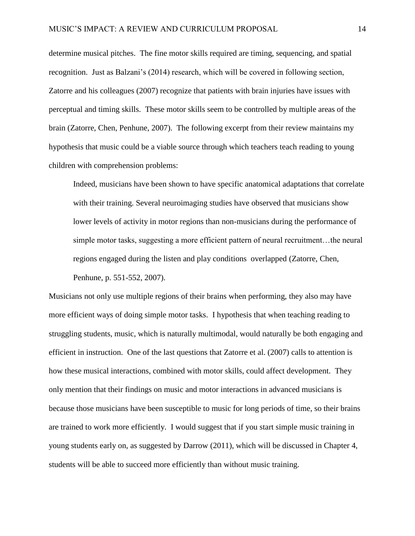determine musical pitches. The fine motor skills required are timing, sequencing, and spatial recognition. Just as Balzani's (2014) research, which will be covered in following section, Zatorre and his colleagues (2007) recognize that patients with brain injuries have issues with perceptual and timing skills. These motor skills seem to be controlled by multiple areas of the brain (Zatorre, Chen, Penhune, 2007). The following excerpt from their review maintains my hypothesis that music could be a viable source through which teachers teach reading to young children with comprehension problems:

Indeed, musicians have been shown to have specific anatomical adaptations that correlate with their training. Several neuroimaging studies have observed that musicians show lower levels of activity in motor regions than non-musicians during the performance of simple motor tasks, suggesting a more efficient pattern of neural recruitment…the neural regions engaged during the listen and play conditions overlapped (Zatorre, Chen, Penhune, p. 551-552, 2007).

Musicians not only use multiple regions of their brains when performing, they also may have more efficient ways of doing simple motor tasks. I hypothesis that when teaching reading to struggling students, music, which is naturally multimodal, would naturally be both engaging and efficient in instruction. One of the last questions that Zatorre et al. (2007) calls to attention is how these musical interactions, combined with motor skills, could affect development. They only mention that their findings on music and motor interactions in advanced musicians is because those musicians have been susceptible to music for long periods of time, so their brains are trained to work more efficiently. I would suggest that if you start simple music training in young students early on, as suggested by Darrow (2011), which will be discussed in Chapter 4, students will be able to succeed more efficiently than without music training.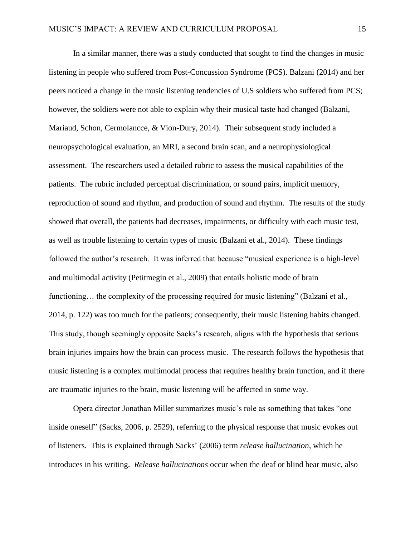In a similar manner, there was a study conducted that sought to find the changes in music listening in people who suffered from Post-Concussion Syndrome (PCS). Balzani (2014) and her peers noticed a change in the music listening tendencies of U.S soldiers who suffered from PCS; however, the soldiers were not able to explain why their musical taste had changed (Balzani, Mariaud, Schon, Cermolancce, & Vion-Dury, 2014). Their subsequent study included a neuropsychological evaluation, an MRI, a second brain scan, and a neurophysiological assessment. The researchers used a detailed rubric to assess the musical capabilities of the patients. The rubric included perceptual discrimination, or sound pairs, implicit memory, reproduction of sound and rhythm, and production of sound and rhythm. The results of the study showed that overall, the patients had decreases, impairments, or difficulty with each music test, as well as trouble listening to certain types of music (Balzani et al., 2014). These findings followed the author's research. It was inferred that because "musical experience is a high-level and multimodal activity (Petitmegin et al., 2009) that entails holistic mode of brain functioning... the complexity of the processing required for music listening" (Balzani et al., 2014, p. 122) was too much for the patients; consequently, their music listening habits changed. This study, though seemingly opposite Sacks's research, aligns with the hypothesis that serious brain injuries impairs how the brain can process music. The research follows the hypothesis that music listening is a complex multimodal process that requires healthy brain function, and if there are traumatic injuries to the brain, music listening will be affected in some way.

Opera director Jonathan Miller summarizes music's role as something that takes "one inside oneself" (Sacks, 2006, p. 2529), referring to the physical response that music evokes out of listeners. This is explained through Sacks' (2006) term *release hallucination*, which he introduces in his writing. *Release hallucinations* occur when the deaf or blind hear music, also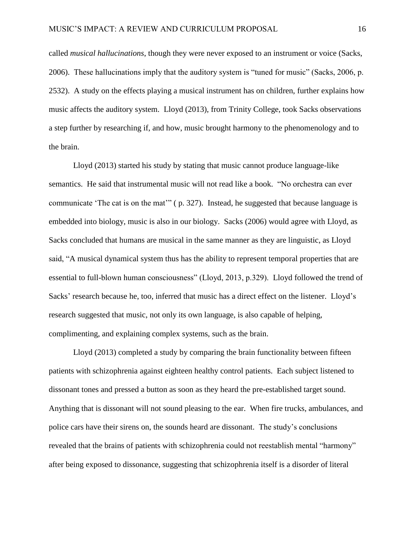called *musical hallucinations*, though they were never exposed to an instrument or voice (Sacks, 2006). These hallucinations imply that the auditory system is "tuned for music" (Sacks, 2006, p. 2532). A study on the effects playing a musical instrument has on children, further explains how music affects the auditory system. Lloyd (2013), from Trinity College, took Sacks observations a step further by researching if, and how, music brought harmony to the phenomenology and to the brain.

Lloyd (2013) started his study by stating that music cannot produce language-like semantics. He said that instrumental music will not read like a book. "No orchestra can ever communicate 'The cat is on the mat'" ( p. 327). Instead, he suggested that because language is embedded into biology, music is also in our biology. Sacks (2006) would agree with Lloyd, as Sacks concluded that humans are musical in the same manner as they are linguistic, as Lloyd said, "A musical dynamical system thus has the ability to represent temporal properties that are essential to full-blown human consciousness" (Lloyd, 2013, p.329). Lloyd followed the trend of Sacks' research because he, too, inferred that music has a direct effect on the listener. Lloyd's research suggested that music, not only its own language, is also capable of helping, complimenting, and explaining complex systems, such as the brain.

Lloyd (2013) completed a study by comparing the brain functionality between fifteen patients with schizophrenia against eighteen healthy control patients. Each subject listened to dissonant tones and pressed a button as soon as they heard the pre-established target sound. Anything that is dissonant will not sound pleasing to the ear. When fire trucks, ambulances, and police cars have their sirens on, the sounds heard are dissonant. The study's conclusions revealed that the brains of patients with schizophrenia could not reestablish mental "harmony" after being exposed to dissonance, suggesting that schizophrenia itself is a disorder of literal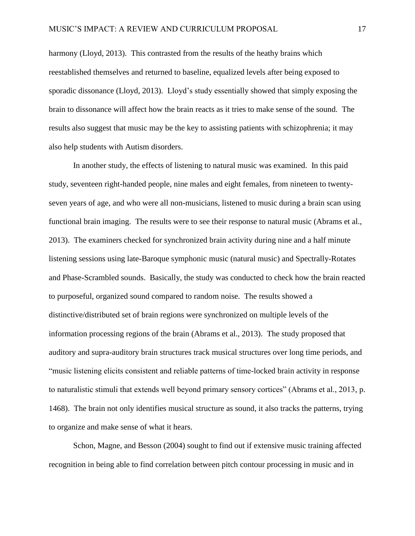harmony (Lloyd, 2013). This contrasted from the results of the heathy brains which reestablished themselves and returned to baseline, equalized levels after being exposed to sporadic dissonance (Lloyd, 2013). Lloyd's study essentially showed that simply exposing the brain to dissonance will affect how the brain reacts as it tries to make sense of the sound. The results also suggest that music may be the key to assisting patients with schizophrenia; it may also help students with Autism disorders.

In another study, the effects of listening to natural music was examined. In this paid study, seventeen right-handed people, nine males and eight females, from nineteen to twentyseven years of age, and who were all non-musicians, listened to music during a brain scan using functional brain imaging. The results were to see their response to natural music (Abrams et al., 2013). The examiners checked for synchronized brain activity during nine and a half minute listening sessions using late-Baroque symphonic music (natural music) and Spectrally-Rotates and Phase-Scrambled sounds. Basically, the study was conducted to check how the brain reacted to purposeful, organized sound compared to random noise. The results showed a distinctive/distributed set of brain regions were synchronized on multiple levels of the information processing regions of the brain (Abrams et al., 2013). The study proposed that auditory and supra-auditory brain structures track musical structures over long time periods, and "music listening elicits consistent and reliable patterns of time-locked brain activity in response to naturalistic stimuli that extends well beyond primary sensory cortices" (Abrams et al., 2013, p. 1468). The brain not only identifies musical structure as sound, it also tracks the patterns, trying to organize and make sense of what it hears.

Schon, Magne, and Besson (2004) sought to find out if extensive music training affected recognition in being able to find correlation between pitch contour processing in music and in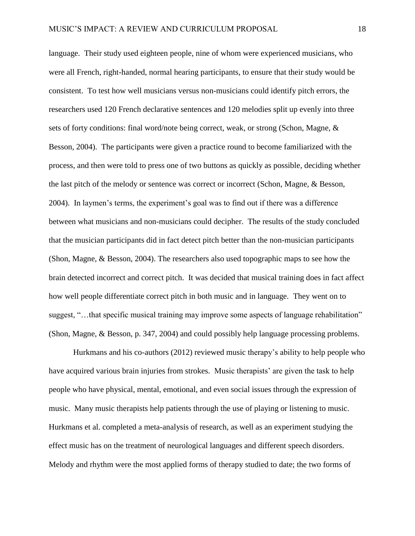language. Their study used eighteen people, nine of whom were experienced musicians, who were all French, right-handed, normal hearing participants, to ensure that their study would be consistent. To test how well musicians versus non-musicians could identify pitch errors, the researchers used 120 French declarative sentences and 120 melodies split up evenly into three sets of forty conditions: final word/note being correct, weak, or strong (Schon, Magne, & Besson, 2004). The participants were given a practice round to become familiarized with the process, and then were told to press one of two buttons as quickly as possible, deciding whether the last pitch of the melody or sentence was correct or incorrect (Schon, Magne, & Besson, 2004). In laymen's terms, the experiment's goal was to find out if there was a difference between what musicians and non-musicians could decipher. The results of the study concluded that the musician participants did in fact detect pitch better than the non-musician participants (Shon, Magne, & Besson, 2004). The researchers also used topographic maps to see how the brain detected incorrect and correct pitch. It was decided that musical training does in fact affect how well people differentiate correct pitch in both music and in language. They went on to suggest, "...that specific musical training may improve some aspects of language rehabilitation" (Shon, Magne, & Besson, p. 347, 2004) and could possibly help language processing problems.

Hurkmans and his co-authors (2012) reviewed music therapy's ability to help people who have acquired various brain injuries from strokes. Music therapists' are given the task to help people who have physical, mental, emotional, and even social issues through the expression of music. Many music therapists help patients through the use of playing or listening to music. Hurkmans et al. completed a meta-analysis of research, as well as an experiment studying the effect music has on the treatment of neurological languages and different speech disorders. Melody and rhythm were the most applied forms of therapy studied to date; the two forms of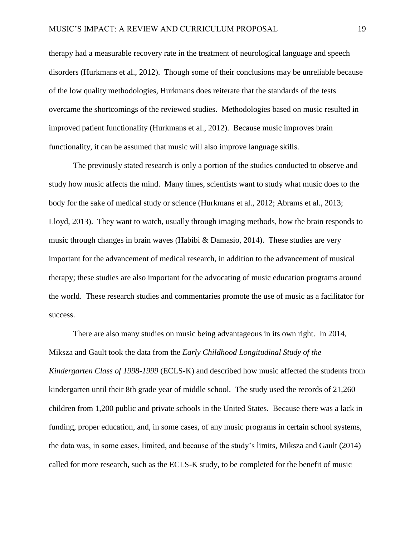therapy had a measurable recovery rate in the treatment of neurological language and speech disorders (Hurkmans et al., 2012). Though some of their conclusions may be unreliable because of the low quality methodologies, Hurkmans does reiterate that the standards of the tests overcame the shortcomings of the reviewed studies. Methodologies based on music resulted in improved patient functionality (Hurkmans et al., 2012). Because music improves brain functionality, it can be assumed that music will also improve language skills.

The previously stated research is only a portion of the studies conducted to observe and study how music affects the mind. Many times, scientists want to study what music does to the body for the sake of medical study or science (Hurkmans et al., 2012; Abrams et al., 2013; Lloyd, 2013). They want to watch, usually through imaging methods, how the brain responds to music through changes in brain waves (Habibi & Damasio, 2014). These studies are very important for the advancement of medical research, in addition to the advancement of musical therapy; these studies are also important for the advocating of music education programs around the world. These research studies and commentaries promote the use of music as a facilitator for success.

There are also many studies on music being advantageous in its own right. In 2014, Miksza and Gault took the data from the *Early Childhood Longitudinal Study of the Kindergarten Class of 1998-1999* (ECLS-K) and described how music affected the students from kindergarten until their 8th grade year of middle school. The study used the records of 21,260 children from 1,200 public and private schools in the United States. Because there was a lack in funding, proper education, and, in some cases, of any music programs in certain school systems, the data was, in some cases, limited, and because of the study's limits, Miksza and Gault (2014) called for more research, such as the ECLS-K study, to be completed for the benefit of music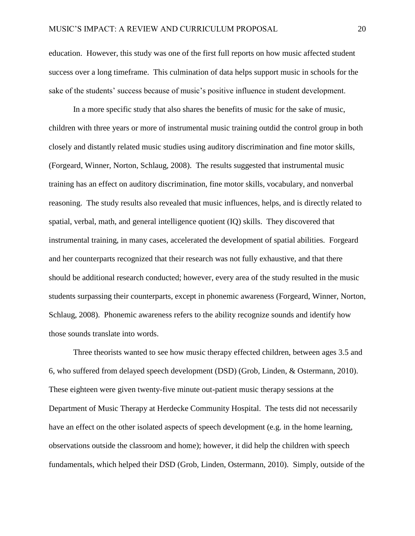education. However, this study was one of the first full reports on how music affected student success over a long timeframe. This culmination of data helps support music in schools for the sake of the students' success because of music's positive influence in student development.

In a more specific study that also shares the benefits of music for the sake of music, children with three years or more of instrumental music training outdid the control group in both closely and distantly related music studies using auditory discrimination and fine motor skills, (Forgeard, Winner, Norton, Schlaug, 2008). The results suggested that instrumental music training has an effect on auditory discrimination, fine motor skills, vocabulary, and nonverbal reasoning. The study results also revealed that music influences, helps, and is directly related to spatial, verbal, math, and general intelligence quotient (IQ) skills. They discovered that instrumental training, in many cases, accelerated the development of spatial abilities. Forgeard and her counterparts recognized that their research was not fully exhaustive, and that there should be additional research conducted; however, every area of the study resulted in the music students surpassing their counterparts, except in phonemic awareness (Forgeard, Winner, Norton, Schlaug, 2008). Phonemic awareness refers to the ability recognize sounds and identify how those sounds translate into words.

Three theorists wanted to see how music therapy effected children, between ages 3.5 and 6, who suffered from delayed speech development (DSD) (Grob, Linden, & Ostermann, 2010). These eighteen were given twenty-five minute out-patient music therapy sessions at the Department of Music Therapy at Herdecke Community Hospital. The tests did not necessarily have an effect on the other isolated aspects of speech development (e.g. in the home learning, observations outside the classroom and home); however, it did help the children with speech fundamentals, which helped their DSD (Grob, Linden, Ostermann, 2010). Simply, outside of the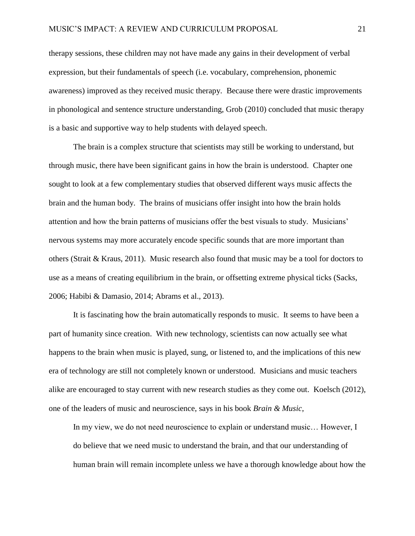therapy sessions, these children may not have made any gains in their development of verbal expression, but their fundamentals of speech (i.e. vocabulary, comprehension, phonemic awareness) improved as they received music therapy. Because there were drastic improvements in phonological and sentence structure understanding, Grob (2010) concluded that music therapy is a basic and supportive way to help students with delayed speech.

The brain is a complex structure that scientists may still be working to understand, but through music, there have been significant gains in how the brain is understood. Chapter one sought to look at a few complementary studies that observed different ways music affects the brain and the human body. The brains of musicians offer insight into how the brain holds attention and how the brain patterns of musicians offer the best visuals to study. Musicians' nervous systems may more accurately encode specific sounds that are more important than others (Strait & Kraus, 2011). Music research also found that music may be a tool for doctors to use as a means of creating equilibrium in the brain, or offsetting extreme physical ticks (Sacks, 2006; Habibi & Damasio, 2014; Abrams et al., 2013).

It is fascinating how the brain automatically responds to music. It seems to have been a part of humanity since creation. With new technology, scientists can now actually see what happens to the brain when music is played, sung, or listened to, and the implications of this new era of technology are still not completely known or understood. Musicians and music teachers alike are encouraged to stay current with new research studies as they come out. Koelsch (2012), one of the leaders of music and neuroscience, says in his book *Brain & Music*,

In my view, we do not need neuroscience to explain or understand music… However, I do believe that we need music to understand the brain, and that our understanding of human brain will remain incomplete unless we have a thorough knowledge about how the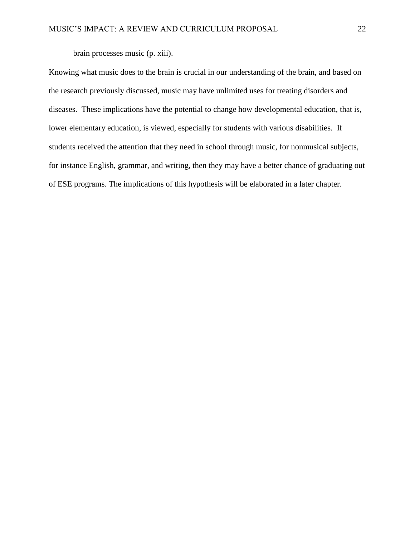brain processes music (p. xiii).

Knowing what music does to the brain is crucial in our understanding of the brain, and based on the research previously discussed, music may have unlimited uses for treating disorders and diseases. These implications have the potential to change how developmental education, that is, lower elementary education, is viewed, especially for students with various disabilities. If students received the attention that they need in school through music, for nonmusical subjects, for instance English, grammar, and writing, then they may have a better chance of graduating out of ESE programs. The implications of this hypothesis will be elaborated in a later chapter.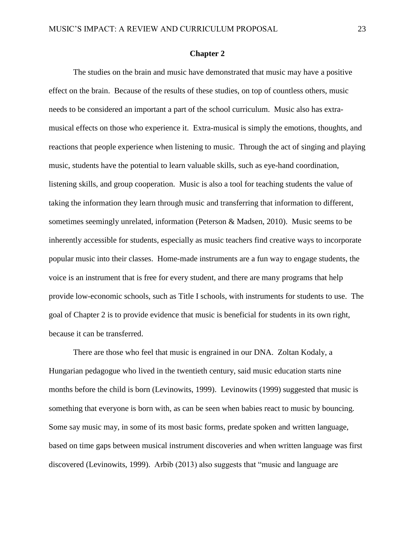#### **Chapter 2**

The studies on the brain and music have demonstrated that music may have a positive effect on the brain. Because of the results of these studies, on top of countless others, music needs to be considered an important a part of the school curriculum. Music also has extramusical effects on those who experience it. Extra-musical is simply the emotions, thoughts, and reactions that people experience when listening to music. Through the act of singing and playing music, students have the potential to learn valuable skills, such as eye-hand coordination, listening skills, and group cooperation. Music is also a tool for teaching students the value of taking the information they learn through music and transferring that information to different, sometimes seemingly unrelated, information (Peterson & Madsen, 2010). Music seems to be inherently accessible for students, especially as music teachers find creative ways to incorporate popular music into their classes. Home-made instruments are a fun way to engage students, the voice is an instrument that is free for every student, and there are many programs that help provide low-economic schools, such as Title I schools, with instruments for students to use. The goal of Chapter 2 is to provide evidence that music is beneficial for students in its own right, because it can be transferred.

There are those who feel that music is engrained in our DNA. Zoltan Kodaly, a Hungarian pedagogue who lived in the twentieth century, said music education starts nine months before the child is born (Levinowits, 1999). Levinowits (1999) suggested that music is something that everyone is born with, as can be seen when babies react to music by bouncing. Some say music may, in some of its most basic forms, predate spoken and written language, based on time gaps between musical instrument discoveries and when written language was first discovered (Levinowits, 1999). Arbib (2013) also suggests that "music and language are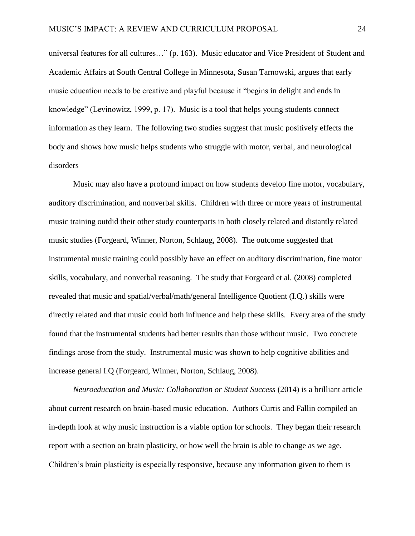universal features for all cultures…" (p. 163). Music educator and Vice President of Student and Academic Affairs at South Central College in Minnesota, Susan Tarnowski, argues that early music education needs to be creative and playful because it "begins in delight and ends in knowledge" (Levinowitz, 1999, p. 17). Music is a tool that helps young students connect information as they learn. The following two studies suggest that music positively effects the body and shows how music helps students who struggle with motor, verbal, and neurological disorders

Music may also have a profound impact on how students develop fine motor, vocabulary, auditory discrimination, and nonverbal skills. Children with three or more years of instrumental music training outdid their other study counterparts in both closely related and distantly related music studies (Forgeard, Winner, Norton, Schlaug, 2008). The outcome suggested that instrumental music training could possibly have an effect on auditory discrimination, fine motor skills, vocabulary, and nonverbal reasoning. The study that Forgeard et al. (2008) completed revealed that music and spatial/verbal/math/general Intelligence Quotient (I.Q.) skills were directly related and that music could both influence and help these skills. Every area of the study found that the instrumental students had better results than those without music. Two concrete findings arose from the study. Instrumental music was shown to help cognitive abilities and increase general I.Q (Forgeard, Winner, Norton, Schlaug, 2008).

*Neuroeducation and Music: Collaboration or Student Success* (2014) is a brilliant article about current research on brain-based music education. Authors Curtis and Fallin compiled an in-depth look at why music instruction is a viable option for schools. They began their research report with a section on brain plasticity, or how well the brain is able to change as we age. Children's brain plasticity is especially responsive, because any information given to them is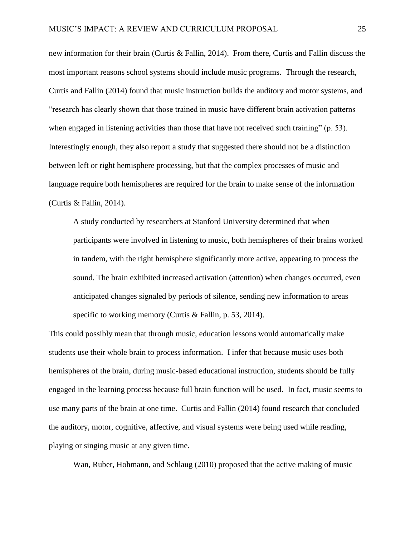new information for their brain (Curtis & Fallin, 2014). From there, Curtis and Fallin discuss the most important reasons school systems should include music programs. Through the research, Curtis and Fallin (2014) found that music instruction builds the auditory and motor systems, and "research has clearly shown that those trained in music have different brain activation patterns when engaged in listening activities than those that have not received such training" (p. 53). Interestingly enough, they also report a study that suggested there should not be a distinction between left or right hemisphere processing, but that the complex processes of music and language require both hemispheres are required for the brain to make sense of the information (Curtis & Fallin, 2014).

A study conducted by researchers at Stanford University determined that when participants were involved in listening to music, both hemispheres of their brains worked in tandem, with the right hemisphere significantly more active, appearing to process the sound. The brain exhibited increased activation (attention) when changes occurred, even anticipated changes signaled by periods of silence, sending new information to areas specific to working memory (Curtis & Fallin, p. 53, 2014).

This could possibly mean that through music, education lessons would automatically make students use their whole brain to process information. I infer that because music uses both hemispheres of the brain, during music-based educational instruction, students should be fully engaged in the learning process because full brain function will be used. In fact, music seems to use many parts of the brain at one time. Curtis and Fallin (2014) found research that concluded the auditory, motor, cognitive, affective, and visual systems were being used while reading, playing or singing music at any given time.

Wan, Ruber, Hohmann, and Schlaug (2010) proposed that the active making of music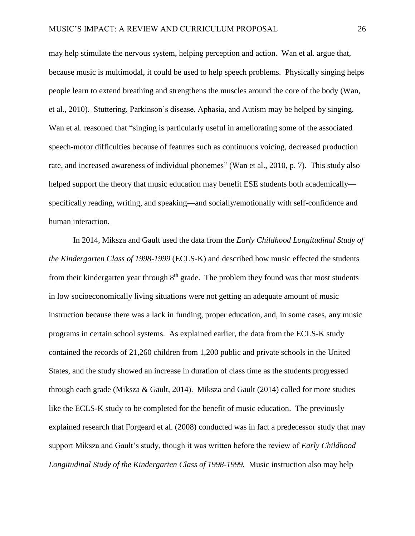may help stimulate the nervous system, helping perception and action. Wan et al. argue that, because music is multimodal, it could be used to help speech problems. Physically singing helps people learn to extend breathing and strengthens the muscles around the core of the body (Wan, et al., 2010). Stuttering, Parkinson's disease, Aphasia, and Autism may be helped by singing. Wan et al. reasoned that "singing is particularly useful in ameliorating some of the associated speech-motor difficulties because of features such as continuous voicing, decreased production rate, and increased awareness of individual phonemes" (Wan et al., 2010, p. 7). This study also helped support the theory that music education may benefit ESE students both academically specifically reading, writing, and speaking—and socially/emotionally with self-confidence and human interaction.

In 2014, Miksza and Gault used the data from the *Early Childhood Longitudinal Study of the Kindergarten Class of 1998-1999* (ECLS-K) and described how music effected the students from their kindergarten year through  $8<sup>th</sup>$  grade. The problem they found was that most students in low socioeconomically living situations were not getting an adequate amount of music instruction because there was a lack in funding, proper education, and, in some cases, any music programs in certain school systems. As explained earlier, the data from the ECLS-K study contained the records of 21,260 children from 1,200 public and private schools in the United States, and the study showed an increase in duration of class time as the students progressed through each grade (Miksza & Gault, 2014). Miksza and Gault (2014) called for more studies like the ECLS-K study to be completed for the benefit of music education. The previously explained research that Forgeard et al. (2008) conducted was in fact a predecessor study that may support Miksza and Gault's study, though it was written before the review of *Early Childhood Longitudinal Study of the Kindergarten Class of 1998-1999.* Music instruction also may help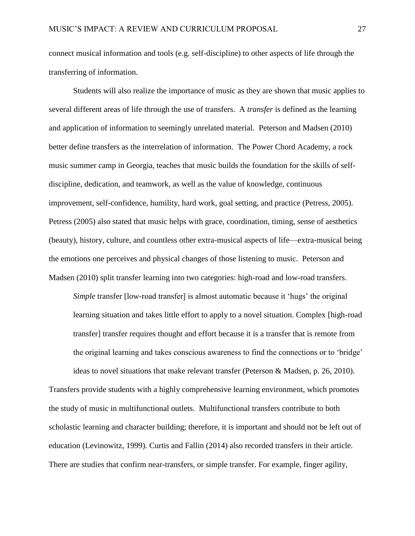connect musical information and tools (e.g. self-discipline) to other aspects of life through the transferring of information.

Students will also realize the importance of music as they are shown that music applies to several different areas of life through the use of transfers. A *transfer* is defined as the learning and application of information to seemingly unrelated material. Peterson and Madsen (2010) better define transfers as the interrelation of information. The Power Chord Academy, a rock music summer camp in Georgia, teaches that music builds the foundation for the skills of selfdiscipline, dedication, and teamwork, as well as the value of knowledge, continuous improvement, self-confidence, humility, hard work, goal setting, and practice (Petress, 2005). Petress (2005) also stated that music helps with grace, coordination, timing, sense of aesthetics (beauty), history, culture, and countless other extra-musical aspects of life—extra-musical being the emotions one perceives and physical changes of those listening to music. Peterson and Madsen (2010) split transfer learning into two categories: high-road and low-road transfers.

*Simple* transfer [low-road transfer] is almost automatic because it 'hugs' the original learning situation and takes little effort to apply to a novel situation. Complex [high-road transfer] transfer requires thought and effort because it is a transfer that is remote from the original learning and takes conscious awareness to find the connections or to 'bridge'

ideas to novel situations that make relevant transfer (Peterson & Madsen, p. 26, 2010). Transfers provide students with a highly comprehensive learning environment, which promotes the study of music in multifunctional outlets. Multifunctional transfers contribute to both scholastic learning and character building; therefore, it is important and should not be left out of education (Levinowitz, 1999). Curtis and Fallin (2014) also recorded transfers in their article. There are studies that confirm near-transfers, or simple transfer. For example, finger agility,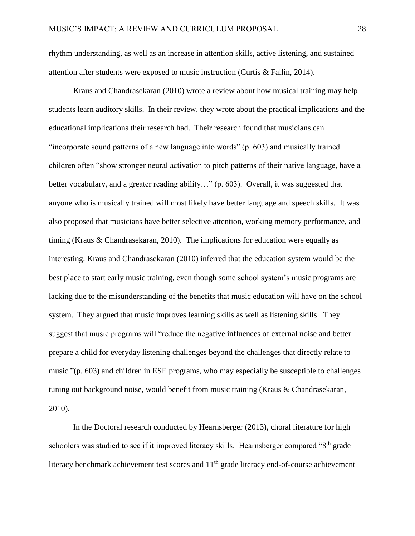rhythm understanding, as well as an increase in attention skills, active listening, and sustained attention after students were exposed to music instruction (Curtis & Fallin, 2014).

Kraus and Chandrasekaran (2010) wrote a review about how musical training may help students learn auditory skills. In their review, they wrote about the practical implications and the educational implications their research had. Their research found that musicians can "incorporate sound patterns of a new language into words" (p. 603) and musically trained children often "show stronger neural activation to pitch patterns of their native language, have a better vocabulary, and a greater reading ability..." (p. 603). Overall, it was suggested that anyone who is musically trained will most likely have better language and speech skills. It was also proposed that musicians have better selective attention, working memory performance, and timing (Kraus & Chandrasekaran, 2010). The implications for education were equally as interesting. Kraus and Chandrasekaran (2010) inferred that the education system would be the best place to start early music training, even though some school system's music programs are lacking due to the misunderstanding of the benefits that music education will have on the school system. They argued that music improves learning skills as well as listening skills. They suggest that music programs will "reduce the negative influences of external noise and better prepare a child for everyday listening challenges beyond the challenges that directly relate to music "(p. 603) and children in ESE programs, who may especially be susceptible to challenges tuning out background noise, would benefit from music training (Kraus & Chandrasekaran, 2010).

In the Doctoral research conducted by Hearnsberger (2013), choral literature for high schoolers was studied to see if it improved literacy skills. Hearnsberger compared "8<sup>th</sup> grade" literacy benchmark achievement test scores and  $11<sup>th</sup>$  grade literacy end-of-course achievement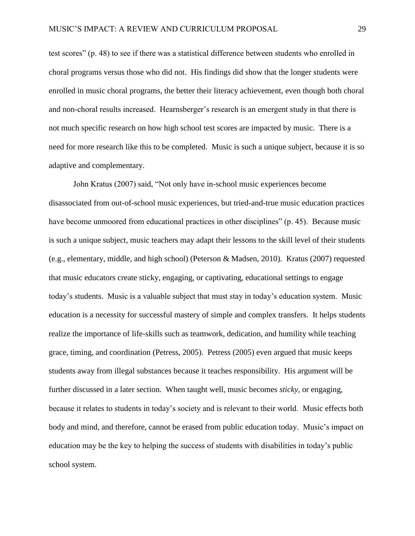test scores" (p. 48) to see if there was a statistical difference between students who enrolled in choral programs versus those who did not. His findings did show that the longer students were enrolled in music choral programs, the better their literacy achievement, even though both choral and non-choral results increased. Hearnsberger's research is an emergent study in that there is not much specific research on how high school test scores are impacted by music. There is a need for more research like this to be completed. Music is such a unique subject, because it is so adaptive and complementary.

John Kratus (2007) said, "Not only have in-school music experiences become disassociated from out-of-school music experiences, but tried-and-true music education practices have become unmoored from educational practices in other disciplines" (p. 45). Because music is such a unique subject, music teachers may adapt their lessons to the skill level of their students (e.g., elementary, middle, and high school) (Peterson & Madsen, 2010). Kratus (2007) requested that music educators create sticky, engaging, or captivating, educational settings to engage today's students. Music is a valuable subject that must stay in today's education system. Music education is a necessity for successful mastery of simple and complex transfers. It helps students realize the importance of life-skills such as teamwork, dedication, and humility while teaching grace, timing, and coordination (Petress, 2005). Petress (2005) even argued that music keeps students away from illegal substances because it teaches responsibility. His argument will be further discussed in a later section. When taught well, music becomes *sticky*, or engaging, because it relates to students in today's society and is relevant to their world. Music effects both body and mind, and therefore, cannot be erased from public education today. Music's impact on education may be the key to helping the success of students with disabilities in today's public school system.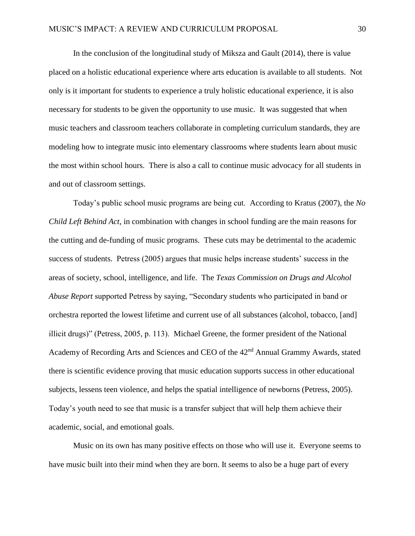In the conclusion of the longitudinal study of Miksza and Gault (2014), there is value placed on a holistic educational experience where arts education is available to all students. Not only is it important for students to experience a truly holistic educational experience, it is also necessary for students to be given the opportunity to use music. It was suggested that when music teachers and classroom teachers collaborate in completing curriculum standards, they are modeling how to integrate music into elementary classrooms where students learn about music the most within school hours. There is also a call to continue music advocacy for all students in and out of classroom settings.

Today's public school music programs are being cut. According to Kratus (2007), the *No Child Left Behind Act*, in combination with changes in school funding are the main reasons for the cutting and de-funding of music programs. These cuts may be detrimental to the academic success of students. Petress (2005) argues that music helps increase students' success in the areas of society, school, intelligence, and life. The *Texas Commission on Drugs and Alcohol Abuse Report* supported Petress by saying, "Secondary students who participated in band or orchestra reported the lowest lifetime and current use of all substances (alcohol, tobacco, [and] illicit drugs)" (Petress, 2005, p. 113). Michael Greene, the former president of the National Academy of Recording Arts and Sciences and CEO of the 42<sup>nd</sup> Annual Grammy Awards, stated there is scientific evidence proving that music education supports success in other educational subjects, lessens teen violence, and helps the spatial intelligence of newborns (Petress, 2005). Today's youth need to see that music is a transfer subject that will help them achieve their academic, social, and emotional goals.

Music on its own has many positive effects on those who will use it. Everyone seems to have music built into their mind when they are born. It seems to also be a huge part of every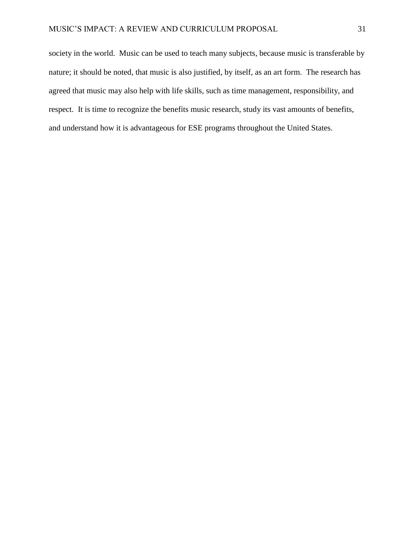society in the world. Music can be used to teach many subjects, because music is transferable by nature; it should be noted, that music is also justified, by itself, as an art form. The research has agreed that music may also help with life skills, such as time management, responsibility, and respect. It is time to recognize the benefits music research, study its vast amounts of benefits, and understand how it is advantageous for ESE programs throughout the United States.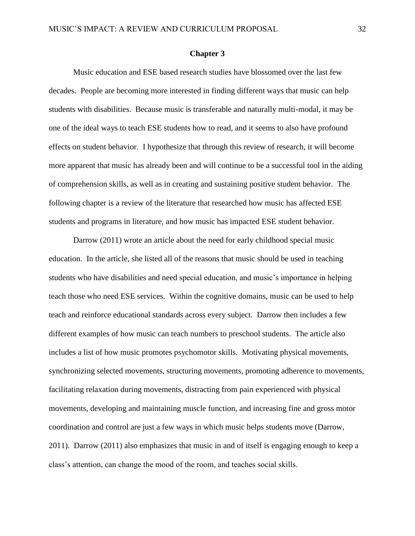#### **Chapter 3**

Music education and ESE based research studies have blossomed over the last few decades. People are becoming more interested in finding different ways that music can help students with disabilities. Because music is transferable and naturally multi-modal, it may be one of the ideal ways to teach ESE students how to read, and it seems to also have profound effects on student behavior. I hypothesize that through this review of research, it will become more apparent that music has already been and will continue to be a successful tool in the aiding of comprehension skills, as well as in creating and sustaining positive student behavior. The following chapter is a review of the literature that researched how music has affected ESE students and programs in literature, and how music has impacted ESE student behavior.

Darrow (2011) wrote an article about the need for early childhood special music education. In the article, she listed all of the reasons that music should be used in teaching students who have disabilities and need special education, and music's importance in helping teach those who need ESE services. Within the cognitive domains, music can be used to help teach and reinforce educational standards across every subject. Darrow then includes a few different examples of how music can teach numbers to preschool students. The article also includes a list of how music promotes psychomotor skills. Motivating physical movements, synchronizing selected movements, structuring movements, promoting adherence to movements, facilitating relaxation during movements, distracting from pain experienced with physical movements, developing and maintaining muscle function, and increasing fine and gross motor coordination and control are just a few ways in which music helps students move (Darrow, 2011). Darrow (2011) also emphasizes that music in and of itself is engaging enough to keep a class's attention, can change the mood of the room, and teaches social skills.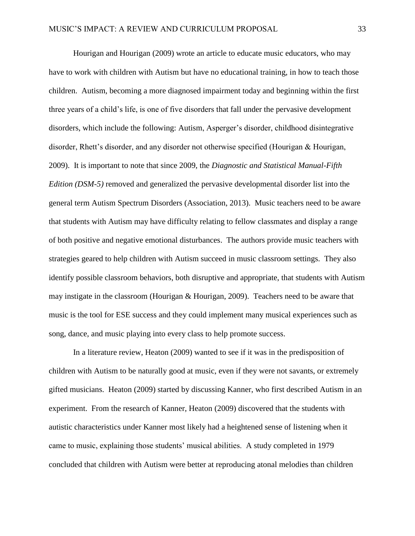Hourigan and Hourigan (2009) wrote an article to educate music educators, who may have to work with children with Autism but have no educational training, in how to teach those children. Autism, becoming a more diagnosed impairment today and beginning within the first three years of a child's life, is one of five disorders that fall under the pervasive development disorders, which include the following: Autism, Asperger's disorder, childhood disintegrative disorder, Rhett's disorder, and any disorder not otherwise specified (Hourigan & Hourigan, 2009). It is important to note that since 2009, the *Diagnostic and Statistical Manual-Fifth Edition (DSM-5)* removed and generalized the pervasive developmental disorder list into the general term Autism Spectrum Disorders (Association, 2013). Music teachers need to be aware that students with Autism may have difficulty relating to fellow classmates and display a range of both positive and negative emotional disturbances. The authors provide music teachers with strategies geared to help children with Autism succeed in music classroom settings. They also identify possible classroom behaviors, both disruptive and appropriate, that students with Autism may instigate in the classroom (Hourigan & Hourigan, 2009). Teachers need to be aware that music is the tool for ESE success and they could implement many musical experiences such as song, dance, and music playing into every class to help promote success.

In a literature review, Heaton (2009) wanted to see if it was in the predisposition of children with Autism to be naturally good at music, even if they were not savants, or extremely gifted musicians. Heaton (2009) started by discussing Kanner, who first described Autism in an experiment. From the research of Kanner, Heaton (2009) discovered that the students with autistic characteristics under Kanner most likely had a heightened sense of listening when it came to music, explaining those students' musical abilities. A study completed in 1979 concluded that children with Autism were better at reproducing atonal melodies than children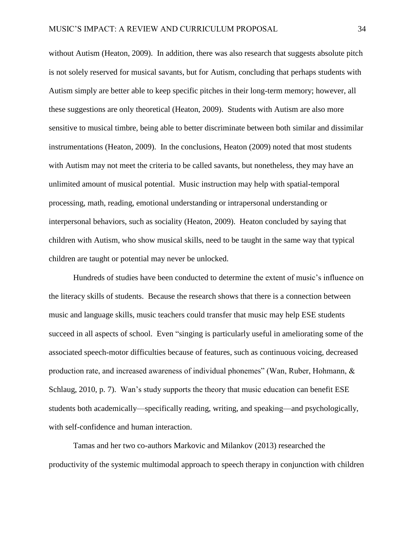without Autism (Heaton, 2009). In addition, there was also research that suggests absolute pitch is not solely reserved for musical savants, but for Autism, concluding that perhaps students with Autism simply are better able to keep specific pitches in their long-term memory; however, all these suggestions are only theoretical (Heaton, 2009). Students with Autism are also more sensitive to musical timbre, being able to better discriminate between both similar and dissimilar instrumentations (Heaton, 2009). In the conclusions, Heaton (2009) noted that most students with Autism may not meet the criteria to be called savants, but nonetheless, they may have an unlimited amount of musical potential. Music instruction may help with spatial-temporal processing, math, reading, emotional understanding or intrapersonal understanding or interpersonal behaviors, such as sociality (Heaton, 2009). Heaton concluded by saying that children with Autism, who show musical skills, need to be taught in the same way that typical children are taught or potential may never be unlocked.

Hundreds of studies have been conducted to determine the extent of music's influence on the literacy skills of students. Because the research shows that there is a connection between music and language skills, music teachers could transfer that music may help ESE students succeed in all aspects of school. Even "singing is particularly useful in ameliorating some of the associated speech-motor difficulties because of features, such as continuous voicing, decreased production rate, and increased awareness of individual phonemes" (Wan, Ruber, Hohmann, & Schlaug, 2010, p. 7). Wan's study supports the theory that music education can benefit ESE students both academically—specifically reading, writing, and speaking—and psychologically, with self-confidence and human interaction.

Tamas and her two co-authors Markovic and Milankov (2013) researched the productivity of the systemic multimodal approach to speech therapy in conjunction with children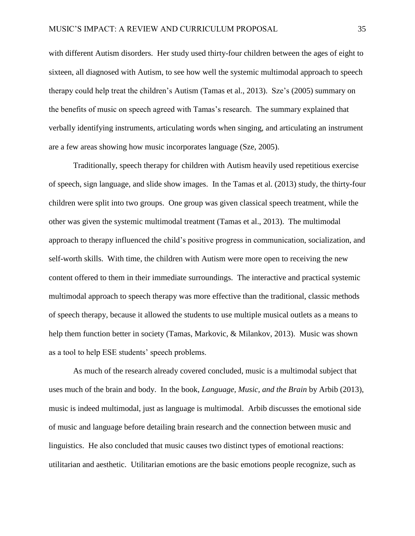with different Autism disorders. Her study used thirty-four children between the ages of eight to sixteen, all diagnosed with Autism, to see how well the systemic multimodal approach to speech therapy could help treat the children's Autism (Tamas et al., 2013). Sze's (2005) summary on the benefits of music on speech agreed with Tamas's research. The summary explained that verbally identifying instruments, articulating words when singing, and articulating an instrument are a few areas showing how music incorporates language (Sze, 2005).

Traditionally, speech therapy for children with Autism heavily used repetitious exercise of speech, sign language, and slide show images. In the Tamas et al. (2013) study, the thirty-four children were split into two groups. One group was given classical speech treatment, while the other was given the systemic multimodal treatment (Tamas et al., 2013). The multimodal approach to therapy influenced the child's positive progress in communication, socialization, and self-worth skills. With time, the children with Autism were more open to receiving the new content offered to them in their immediate surroundings. The interactive and practical systemic multimodal approach to speech therapy was more effective than the traditional, classic methods of speech therapy, because it allowed the students to use multiple musical outlets as a means to help them function better in society (Tamas, Markovic, & Milankov, 2013). Music was shown as a tool to help ESE students' speech problems.

As much of the research already covered concluded, music is a multimodal subject that uses much of the brain and body. In the book, *Language, Music, and the Brain* by Arbib (2013), music is indeed multimodal, just as language is multimodal. Arbib discusses the emotional side of music and language before detailing brain research and the connection between music and linguistics. He also concluded that music causes two distinct types of emotional reactions: utilitarian and aesthetic. Utilitarian emotions are the basic emotions people recognize, such as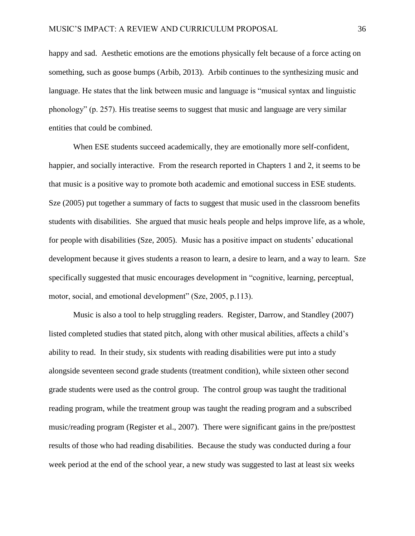happy and sad. Aesthetic emotions are the emotions physically felt because of a force acting on something, such as goose bumps (Arbib, 2013). Arbib continues to the synthesizing music and language. He states that the link between music and language is "musical syntax and linguistic phonology" (p. 257). His treatise seems to suggest that music and language are very similar entities that could be combined.

When ESE students succeed academically, they are emotionally more self-confident, happier, and socially interactive. From the research reported in Chapters 1 and 2, it seems to be that music is a positive way to promote both academic and emotional success in ESE students. Sze (2005) put together a summary of facts to suggest that music used in the classroom benefits students with disabilities. She argued that music heals people and helps improve life, as a whole, for people with disabilities (Sze, 2005). Music has a positive impact on students' educational development because it gives students a reason to learn, a desire to learn, and a way to learn. Sze specifically suggested that music encourages development in "cognitive, learning, perceptual, motor, social, and emotional development" (Sze, 2005, p.113).

Music is also a tool to help struggling readers. Register, Darrow, and Standley (2007) listed completed studies that stated pitch, along with other musical abilities, affects a child's ability to read. In their study, six students with reading disabilities were put into a study alongside seventeen second grade students (treatment condition), while sixteen other second grade students were used as the control group. The control group was taught the traditional reading program, while the treatment group was taught the reading program and a subscribed music/reading program (Register et al., 2007). There were significant gains in the pre/posttest results of those who had reading disabilities. Because the study was conducted during a four week period at the end of the school year, a new study was suggested to last at least six weeks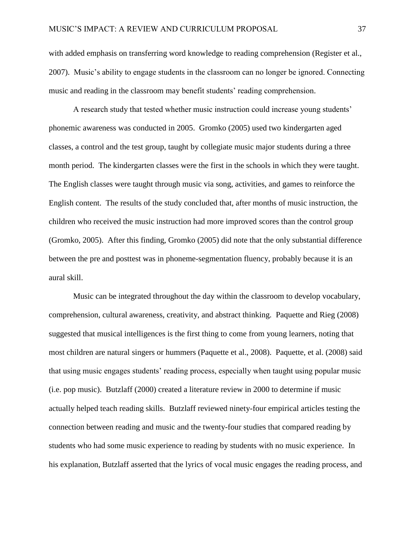with added emphasis on transferring word knowledge to reading comprehension (Register et al., 2007). Music's ability to engage students in the classroom can no longer be ignored. Connecting music and reading in the classroom may benefit students' reading comprehension.

A research study that tested whether music instruction could increase young students' phonemic awareness was conducted in 2005. Gromko (2005) used two kindergarten aged classes, a control and the test group, taught by collegiate music major students during a three month period. The kindergarten classes were the first in the schools in which they were taught. The English classes were taught through music via song, activities, and games to reinforce the English content. The results of the study concluded that, after months of music instruction, the children who received the music instruction had more improved scores than the control group (Gromko, 2005). After this finding, Gromko (2005) did note that the only substantial difference between the pre and posttest was in phoneme-segmentation fluency, probably because it is an aural skill.

Music can be integrated throughout the day within the classroom to develop vocabulary, comprehension, cultural awareness, creativity, and abstract thinking. Paquette and Rieg (2008) suggested that musical intelligences is the first thing to come from young learners, noting that most children are natural singers or hummers (Paquette et al., 2008). Paquette, et al. (2008) said that using music engages students' reading process, especially when taught using popular music (i.e. pop music). Butzlaff (2000) created a literature review in 2000 to determine if music actually helped teach reading skills. Butzlaff reviewed ninety-four empirical articles testing the connection between reading and music and the twenty-four studies that compared reading by students who had some music experience to reading by students with no music experience. In his explanation, Butzlaff asserted that the lyrics of vocal music engages the reading process, and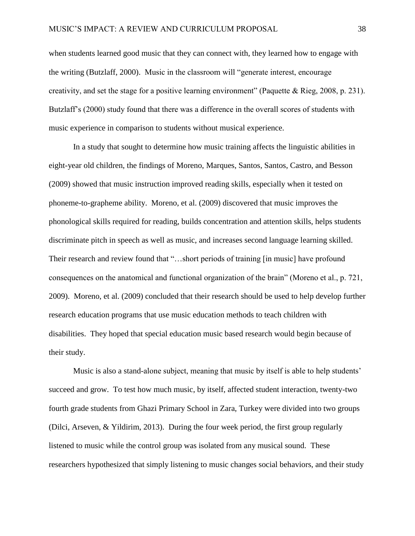when students learned good music that they can connect with, they learned how to engage with the writing (Butzlaff, 2000). Music in the classroom will "generate interest, encourage creativity, and set the stage for a positive learning environment" (Paquette & Rieg, 2008, p. 231). Butzlaff's (2000) study found that there was a difference in the overall scores of students with music experience in comparison to students without musical experience.

In a study that sought to determine how music training affects the linguistic abilities in eight-year old children, the findings of Moreno, Marques, Santos, Santos, Castro, and Besson (2009) showed that music instruction improved reading skills, especially when it tested on phoneme-to-grapheme ability. Moreno, et al. (2009) discovered that music improves the phonological skills required for reading, builds concentration and attention skills, helps students discriminate pitch in speech as well as music, and increases second language learning skilled. Their research and review found that "…short periods of training [in music] have profound consequences on the anatomical and functional organization of the brain" (Moreno et al., p. 721, 2009). Moreno, et al. (2009) concluded that their research should be used to help develop further research education programs that use music education methods to teach children with disabilities. They hoped that special education music based research would begin because of their study.

Music is also a stand-alone subject, meaning that music by itself is able to help students' succeed and grow. To test how much music, by itself, affected student interaction, twenty-two fourth grade students from Ghazi Primary School in Zara, Turkey were divided into two groups (Dilci, Arseven, & Yildirim, 2013). During the four week period, the first group regularly listened to music while the control group was isolated from any musical sound. These researchers hypothesized that simply listening to music changes social behaviors, and their study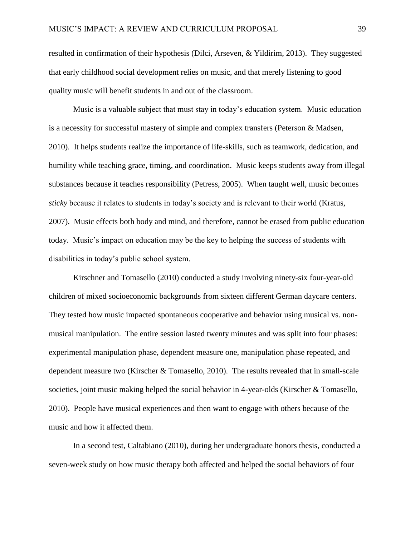resulted in confirmation of their hypothesis (Dilci, Arseven, & Yildirim, 2013). They suggested that early childhood social development relies on music, and that merely listening to good quality music will benefit students in and out of the classroom.

Music is a valuable subject that must stay in today's education system. Music education is a necessity for successful mastery of simple and complex transfers (Peterson & Madsen, 2010). It helps students realize the importance of life-skills, such as teamwork, dedication, and humility while teaching grace, timing, and coordination. Music keeps students away from illegal substances because it teaches responsibility (Petress, 2005). When taught well, music becomes *sticky* because it relates to students in today's society and is relevant to their world (Kratus, 2007). Music effects both body and mind, and therefore, cannot be erased from public education today. Music's impact on education may be the key to helping the success of students with disabilities in today's public school system.

Kirschner and Tomasello (2010) conducted a study involving ninety-six four-year-old children of mixed socioeconomic backgrounds from sixteen different German daycare centers. They tested how music impacted spontaneous cooperative and behavior using musical vs. nonmusical manipulation. The entire session lasted twenty minutes and was split into four phases: experimental manipulation phase, dependent measure one, manipulation phase repeated, and dependent measure two (Kirscher & Tomasello, 2010). The results revealed that in small-scale societies, joint music making helped the social behavior in 4-year-olds (Kirscher & Tomasello, 2010). People have musical experiences and then want to engage with others because of the music and how it affected them.

In a second test, Caltabiano (2010), during her undergraduate honors thesis, conducted a seven-week study on how music therapy both affected and helped the social behaviors of four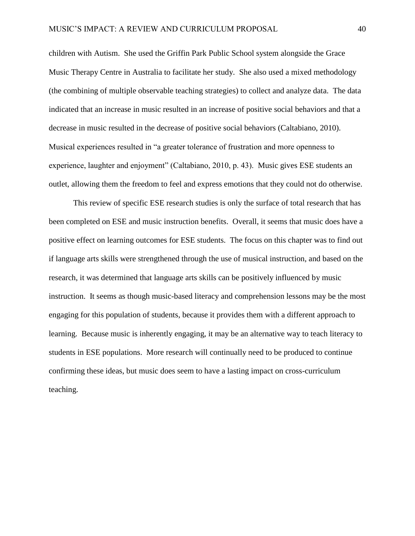children with Autism. She used the Griffin Park Public School system alongside the Grace Music Therapy Centre in Australia to facilitate her study. She also used a mixed methodology (the combining of multiple observable teaching strategies) to collect and analyze data. The data indicated that an increase in music resulted in an increase of positive social behaviors and that a decrease in music resulted in the decrease of positive social behaviors (Caltabiano, 2010). Musical experiences resulted in "a greater tolerance of frustration and more openness to experience, laughter and enjoyment" (Caltabiano, 2010, p. 43). Music gives ESE students an outlet, allowing them the freedom to feel and express emotions that they could not do otherwise.

This review of specific ESE research studies is only the surface of total research that has been completed on ESE and music instruction benefits. Overall, it seems that music does have a positive effect on learning outcomes for ESE students. The focus on this chapter was to find out if language arts skills were strengthened through the use of musical instruction, and based on the research, it was determined that language arts skills can be positively influenced by music instruction. It seems as though music-based literacy and comprehension lessons may be the most engaging for this population of students, because it provides them with a different approach to learning. Because music is inherently engaging, it may be an alternative way to teach literacy to students in ESE populations. More research will continually need to be produced to continue confirming these ideas, but music does seem to have a lasting impact on cross-curriculum teaching.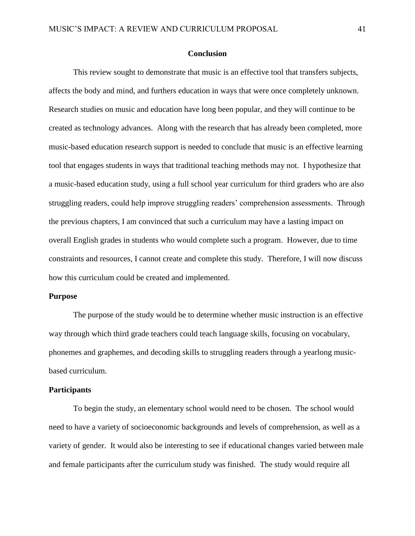#### **Conclusion**

This review sought to demonstrate that music is an effective tool that transfers subjects, affects the body and mind, and furthers education in ways that were once completely unknown. Research studies on music and education have long been popular, and they will continue to be created as technology advances. Along with the research that has already been completed, more music-based education research support is needed to conclude that music is an effective learning tool that engages students in ways that traditional teaching methods may not. I hypothesize that a music-based education study, using a full school year curriculum for third graders who are also struggling readers, could help improve struggling readers' comprehension assessments. Through the previous chapters, I am convinced that such a curriculum may have a lasting impact on overall English grades in students who would complete such a program. However, due to time constraints and resources, I cannot create and complete this study. Therefore, I will now discuss how this curriculum could be created and implemented.

#### **Purpose**

The purpose of the study would be to determine whether music instruction is an effective way through which third grade teachers could teach language skills, focusing on vocabulary, phonemes and graphemes, and decoding skills to struggling readers through a yearlong musicbased curriculum.

#### **Participants**

To begin the study, an elementary school would need to be chosen. The school would need to have a variety of socioeconomic backgrounds and levels of comprehension, as well as a variety of gender. It would also be interesting to see if educational changes varied between male and female participants after the curriculum study was finished. The study would require all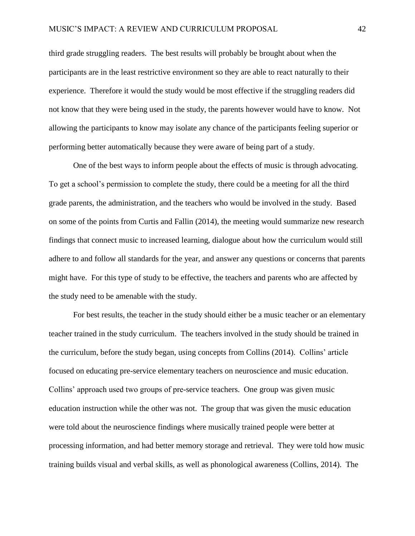third grade struggling readers. The best results will probably be brought about when the participants are in the least restrictive environment so they are able to react naturally to their experience. Therefore it would the study would be most effective if the struggling readers did not know that they were being used in the study, the parents however would have to know. Not allowing the participants to know may isolate any chance of the participants feeling superior or performing better automatically because they were aware of being part of a study.

One of the best ways to inform people about the effects of music is through advocating. To get a school's permission to complete the study, there could be a meeting for all the third grade parents, the administration, and the teachers who would be involved in the study. Based on some of the points from Curtis and Fallin (2014), the meeting would summarize new research findings that connect music to increased learning, dialogue about how the curriculum would still adhere to and follow all standards for the year, and answer any questions or concerns that parents might have. For this type of study to be effective, the teachers and parents who are affected by the study need to be amenable with the study.

For best results, the teacher in the study should either be a music teacher or an elementary teacher trained in the study curriculum. The teachers involved in the study should be trained in the curriculum, before the study began, using concepts from Collins (2014). Collins' article focused on educating pre-service elementary teachers on neuroscience and music education. Collins' approach used two groups of pre-service teachers. One group was given music education instruction while the other was not. The group that was given the music education were told about the neuroscience findings where musically trained people were better at processing information, and had better memory storage and retrieval. They were told how music training builds visual and verbal skills, as well as phonological awareness (Collins, 2014). The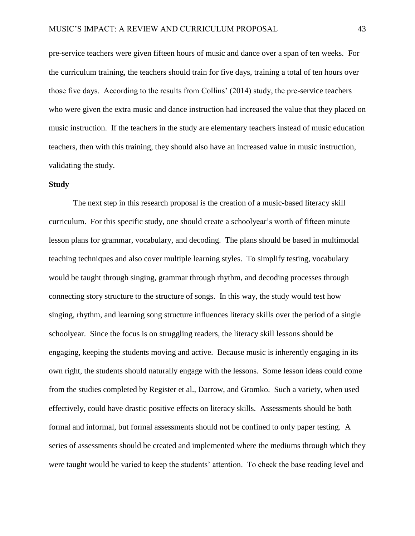pre-service teachers were given fifteen hours of music and dance over a span of ten weeks. For the curriculum training, the teachers should train for five days, training a total of ten hours over those five days. According to the results from Collins' (2014) study, the pre-service teachers who were given the extra music and dance instruction had increased the value that they placed on music instruction. If the teachers in the study are elementary teachers instead of music education teachers, then with this training, they should also have an increased value in music instruction, validating the study.

## **Study**

The next step in this research proposal is the creation of a music-based literacy skill curriculum. For this specific study, one should create a schoolyear's worth of fifteen minute lesson plans for grammar, vocabulary, and decoding. The plans should be based in multimodal teaching techniques and also cover multiple learning styles. To simplify testing, vocabulary would be taught through singing, grammar through rhythm, and decoding processes through connecting story structure to the structure of songs. In this way, the study would test how singing, rhythm, and learning song structure influences literacy skills over the period of a single schoolyear. Since the focus is on struggling readers, the literacy skill lessons should be engaging, keeping the students moving and active. Because music is inherently engaging in its own right, the students should naturally engage with the lessons. Some lesson ideas could come from the studies completed by Register et al., Darrow, and Gromko. Such a variety, when used effectively, could have drastic positive effects on literacy skills. Assessments should be both formal and informal, but formal assessments should not be confined to only paper testing. A series of assessments should be created and implemented where the mediums through which they were taught would be varied to keep the students' attention. To check the base reading level and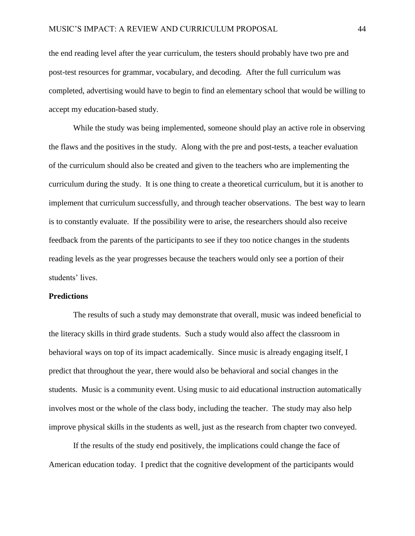the end reading level after the year curriculum, the testers should probably have two pre and post-test resources for grammar, vocabulary, and decoding. After the full curriculum was completed, advertising would have to begin to find an elementary school that would be willing to accept my education-based study.

While the study was being implemented, someone should play an active role in observing the flaws and the positives in the study. Along with the pre and post-tests, a teacher evaluation of the curriculum should also be created and given to the teachers who are implementing the curriculum during the study. It is one thing to create a theoretical curriculum, but it is another to implement that curriculum successfully, and through teacher observations. The best way to learn is to constantly evaluate. If the possibility were to arise, the researchers should also receive feedback from the parents of the participants to see if they too notice changes in the students reading levels as the year progresses because the teachers would only see a portion of their students' lives.

#### **Predictions**

The results of such a study may demonstrate that overall, music was indeed beneficial to the literacy skills in third grade students. Such a study would also affect the classroom in behavioral ways on top of its impact academically. Since music is already engaging itself, I predict that throughout the year, there would also be behavioral and social changes in the students. Music is a community event. Using music to aid educational instruction automatically involves most or the whole of the class body, including the teacher. The study may also help improve physical skills in the students as well, just as the research from chapter two conveyed.

If the results of the study end positively, the implications could change the face of American education today. I predict that the cognitive development of the participants would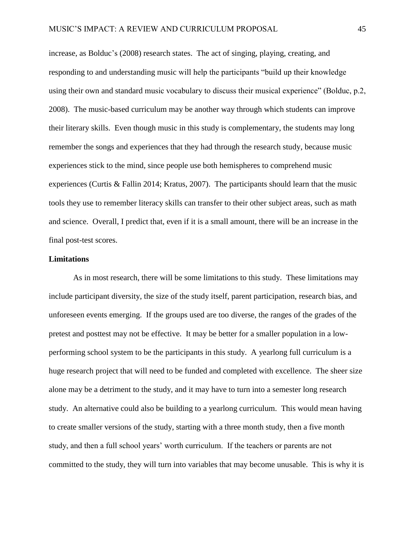increase, as Bolduc's (2008) research states. The act of singing, playing, creating, and responding to and understanding music will help the participants "build up their knowledge using their own and standard music vocabulary to discuss their musical experience" (Bolduc, p.2, 2008). The music-based curriculum may be another way through which students can improve their literary skills. Even though music in this study is complementary, the students may long remember the songs and experiences that they had through the research study, because music experiences stick to the mind, since people use both hemispheres to comprehend music experiences (Curtis & Fallin 2014; Kratus, 2007). The participants should learn that the music tools they use to remember literacy skills can transfer to their other subject areas, such as math and science. Overall, I predict that, even if it is a small amount, there will be an increase in the final post-test scores.

#### **Limitations**

As in most research, there will be some limitations to this study. These limitations may include participant diversity, the size of the study itself, parent participation, research bias, and unforeseen events emerging. If the groups used are too diverse, the ranges of the grades of the pretest and posttest may not be effective. It may be better for a smaller population in a lowperforming school system to be the participants in this study. A yearlong full curriculum is a huge research project that will need to be funded and completed with excellence. The sheer size alone may be a detriment to the study, and it may have to turn into a semester long research study. An alternative could also be building to a yearlong curriculum. This would mean having to create smaller versions of the study, starting with a three month study, then a five month study, and then a full school years' worth curriculum. If the teachers or parents are not committed to the study, they will turn into variables that may become unusable. This is why it is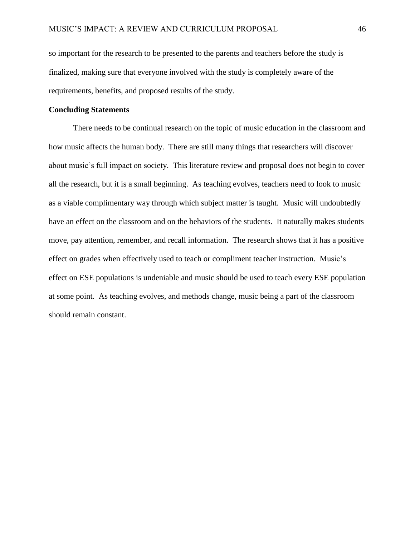so important for the research to be presented to the parents and teachers before the study is finalized, making sure that everyone involved with the study is completely aware of the requirements, benefits, and proposed results of the study.

## **Concluding Statements**

There needs to be continual research on the topic of music education in the classroom and how music affects the human body. There are still many things that researchers will discover about music's full impact on society. This literature review and proposal does not begin to cover all the research, but it is a small beginning. As teaching evolves, teachers need to look to music as a viable complimentary way through which subject matter is taught. Music will undoubtedly have an effect on the classroom and on the behaviors of the students. It naturally makes students move, pay attention, remember, and recall information. The research shows that it has a positive effect on grades when effectively used to teach or compliment teacher instruction. Music's effect on ESE populations is undeniable and music should be used to teach every ESE population at some point. As teaching evolves, and methods change, music being a part of the classroom should remain constant.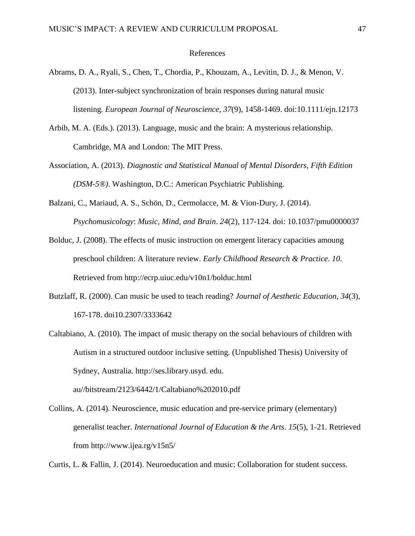#### References

- Abrams, D. A., Ryali, S., Chen, T., Chordia, P., Khouzam, A., Levitin, D. J., & Menon, V. (2013). Inter-subject synchronization of brain responses during natural music listening. *European Journal of Neuroscience*, *37*(9), 1458-1469. doi:10.1111/ejn.12173
- Arbib, M. A. (Eds.). (2013). Language, music and the brain: A mysterious relationship. Cambridge, MA and London: The MIT Press.
- Association, A. (2013). *Diagnostic and Statistical Manual of Mental Disorders, Fifth Edition (DSM-5®)*. Washington, D.C.: American Psychiatric Publishing.
- Balzani, C., Mariaud, A. S., Schön, D., Cermolacce, M. & Vion-Dury, J. (2014). *Psychomusicology*: *Music, Mind, and Brain*. *24*(2), 117-124. doi: 10.1037/pmu0000037
- Bolduc, J. (2008). The effects of music instruction on emergent literacy capacities amoung preschool children: A literature review. *Early Childhood Research & Practice*. *10*. Retrieved from http://ecrp.uiuc.edu/v10n1/bolduc.html
- Butzlaff, R. (2000). Can music be used to teach reading? *Journal of Aesthetic Education*, *34*(3), 167-178. doi10.2307/3333642
- Caltabiano, A. (2010). The impact of music therapy on the social behaviours of children with Autism in a structured outdoor inclusive setting. (Unpublished Thesis) University of Sydney, Australia. http://ses.library.usyd. edu.

au//bitstream/2123/6442/1/Caltabiano%202010.pdf

Collins, A. (2014). Neuroscience, music education and pre-service primary (elementary) generalist teacher. *International Journal of Education & the Arts*. *15*(5), 1-21. Retrieved from http://www.ijea.rg/v15n5/

Curtis, L. & Fallin, J. (2014). Neuroeducation and music: Collaboration for student success.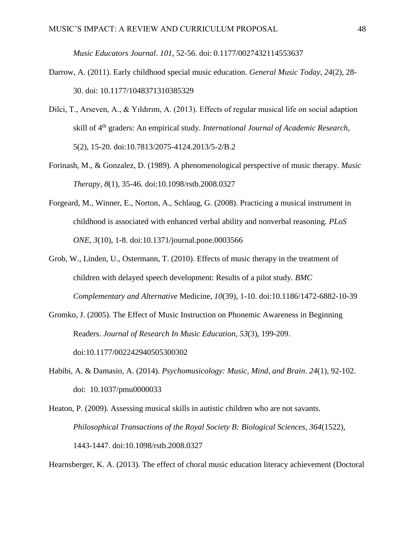*Music Educators Journal*. *101*, 52-56. doi: 0.1177/0027432114553637

- Darrow, A. (2011). Early childhood special music education. *General Music Today*, *24*(2), 28- 30. doi: 10.1177/1048371310385329
- Dilci, T., Arseven, A., & Yıldırım, A. (2013). Effects of regular musical life on social adaption skill of 4th graders: An empirical study. *International Journal of Academic Research*, 5(2), 15-20. doi:10.7813/2075-4124.2013/5-2/B.2
- Forinash, M., & Gonzalez, D. (1989). A phenomenological perspective of music therapy. *Music Therapy*, *8*(1), 35-46. doi:10.1098/rstb.2008.0327
- Forgeard, M., Winner, E., Norton, A., Schlaug, G. (2008). Practicing a musical instrument in childhood is associated with enhanced verbal ability and nonverbal reasoning. *PLoS ONE*, *3*(10), 1-8. doi:10.1371/journal.pone.0003566
- Grob, W., Linden, U., Ostermann, T. (2010). Effects of music therapy in the treatment of children with delayed speech development: Results of a pilot study. *BMC Complementary and Alternative* Medicine, *10*(39), 1-10. doi:10.1186/1472-6882-10-39
- Gromko, J. (2005). The Effect of Music Instruction on Phonemic Awareness in Beginning Readers. *Journal of Research In Music Education*, *53*(3), 199-209. doi:10.1177/002242940505300302
- Habibi, A. & Damasio, A. (2014). *Psychomusicology: Music, Mind, and Brain*. *24*(1), 92-102. doi: 10.1037/pmu0000033
- Heaton, P. (2009). Assessing musical skills in autistic children who are not savants. *Philosophical Transactions of the Royal Society B: Biological Sciences*, *364*(1522), 1443-1447. doi:10.1098/rstb.2008.0327

Hearnsberger, K. A. (2013). The effect of choral music education literacy achievement (Doctoral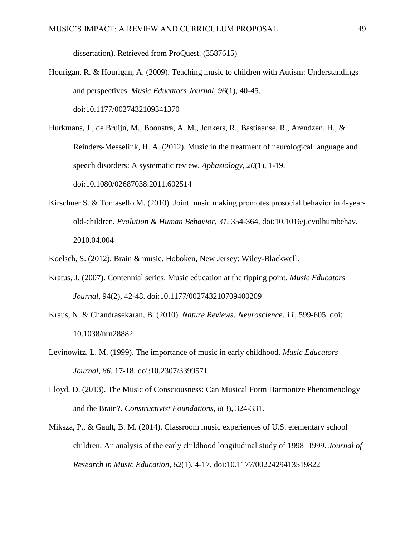dissertation). Retrieved from ProQuest. (3587615)

- Hourigan, R. & Hourigan, A. (2009). Teaching music to children with Autism: Understandings and perspectives. *Music Educators Journal*, *96*(1), 40-45. doi:10.1177/0027432109341370
- Hurkmans, J., de Bruijn, M., Boonstra, A. M., Jonkers, R., Bastiaanse, R., Arendzen, H., & Reinders-Messelink, H. A. (2012). Music in the treatment of neurological language and speech disorders: A systematic review. *Aphasiology*, *26*(1), 1-19. doi:10.1080/02687038.2011.602514
- Kirschner S. & Tomasello M. (2010). Joint music making promotes prosocial behavior in 4-yearold-children. *Evolution & Human Behavior*, *31*, 354-364, doi:10.1016/j.evolhumbehav. 2010.04.004
- Koelsch, S. (2012). Brain & music. Hoboken, New Jersey: Wiley-Blackwell.
- Kratus, J. (2007). Contennial series: Music education at the tipping point. *Music Educators Journal*, 94(2), 42-48. doi:10.1177/002743210709400209
- Kraus, N. & Chandrasekaran, B. (2010). *Nature Reviews: Neuroscience*. *11*, 599-605. doi: 10.1038/nrn28882
- Levinowitz, L. M. (1999). The importance of music in early childhood. *Music Educators Journal*, *86*, 17-18. doi:10.2307/3399571
- Lloyd, D. (2013). The Music of Consciousness: Can Musical Form Harmonize Phenomenology and the Brain?. *Constructivist Foundations*, *8*(3), 324-331.
- Miksza, P., & Gault, B. M. (2014). Classroom music experiences of U.S. elementary school children: An analysis of the early childhood longitudinal study of 1998–1999. *Journal of Research in Music Education*, *62*(1), 4-17. doi:10.1177/0022429413519822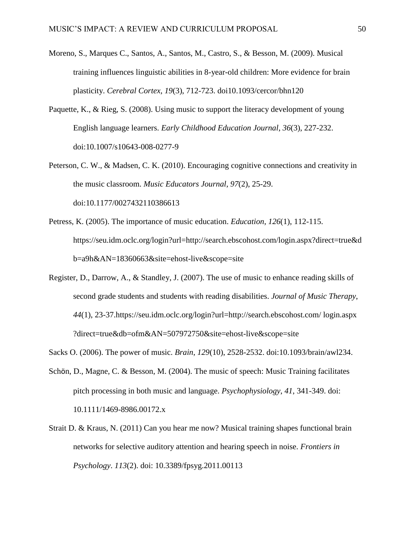- Moreno, S., Marques C., Santos, A., Santos, M., Castro, S., & Besson, M. (2009). Musical training influences linguistic abilities in 8-year-old children: More evidence for brain plasticity. *Cerebral Cortex*, *19*(3), 712-723. doi10.1093/cercor/bhn120
- Paquette, K., & Rieg, S. (2008). Using music to support the literacy development of young English language learners. *Early Childhood Education Journal*, *36*(3), 227-232. doi:10.1007/s10643-008-0277-9
- Peterson, C. W., & Madsen, C. K. (2010). Encouraging cognitive connections and creativity in the music classroom. *Music Educators Journal*, *97*(2), 25-29. doi:10.1177/0027432110386613
- Petress, K. (2005). The importance of music education. *Education*, *126*(1), 112-115. https://seu.idm.oclc.org/login?url=http://search.ebscohost.com/login.aspx?direct=true&d b=a9h&AN=18360663&site=ehost-live&scope=site
- Register, D., Darrow, A., & Standley, J. (2007). The use of music to enhance reading skills of second grade students and students with reading disabilities. *Journal of Music Therapy*, *44*(1), 23-37.https://seu.idm.oclc.org/login?url=http://search.ebscohost.com/ login.aspx ?direct=true&db=ofm&AN=507972750&site=ehost-live&scope=site
- Sacks O. (2006). The power of music. *Brain*, *129*(10), 2528-2532. doi:10.1093/brain/awl234.
- Schön, D., Magne, C. & Besson, M. (2004). The music of speech: Music Training facilitates pitch processing in both music and language. *Psychophysiology*, *41*, 341-349. doi: 10.1111/1469-8986.00172.x
- Strait D. & Kraus, N. (2011) Can you hear me now? Musical training shapes functional brain networks for selective auditory attention and hearing speech in noise. *Frontiers in Psychology*. *113*(2). doi: 10.3389/fpsyg.2011.00113